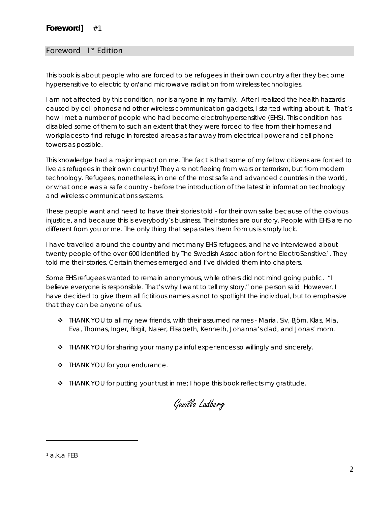# **Foreword**] #1

### Foreword 1<sup>st</sup> Edition

This book is about people who are forced to be refugees in their own country after they become hypersensitive to electricity or/and microwave radiation from wireless technologies.

I am not affected by this condition, nor is anyone in my family. After I realized the health hazards caused by cell phones and other wireless communication gadgets, I started writing about it. That's how I met a number of people who had become electrohypersensitive (EHS). This condition has disabled some of them to such an extent that they were forced to flee from their homes and workplaces to find refuge in forested areas as far away from electrical power and cell phone towers as possible.

This knowledge had a major impact on me. The fact is that some of my fellow citizens are forced to live as refugees in their own country! They are not fleeing from wars or terrorism, but from modern technology. Refugees, nonetheless, in one of the most safe and advanced countries in the world, or what once was a safe country - before the introduction of the latest in information technology and wireless communications systems.

These people want and need to have their stories told - for their own sake because of the obvious injustice, and because this is everybody's business. Their stories are our story. People with EHS are no different from you or me. The only thing that separates them from us is simply luck.

I have travelled around the country and met many EHS refugees, and have interviewed about twenty people of the over 600 identified by The Swedish Association for the ElectroSensitive.1. They told me their stories. Certain themes emerged and I've divided them into chapters.

Some EHS refugees wanted to remain anonymous, while others did not mind going public. "I believe everyone is responsible. That's why I want to tell my story," one person said. However, I have decided to give them all fictitious names as not to spotlight the individual, but to emphasize that they can be anyone of us.

- THANK YOU to all my new friends, with their assumed names *Maria, Siv, Björn, Klas, Mia, Eva, Thomas, Inger, Birgit, Naser, Elisabeth, Kenneth, Johanna's dad, and Jonas' mom.*
- \* THANK YOU for sharing your many painful experiences so willingly and sincerely.
- \* THANK YOU for your endurance.
- $\div$  THANK YOU for putting your trust in me; I hope this book reflects my gratitude.

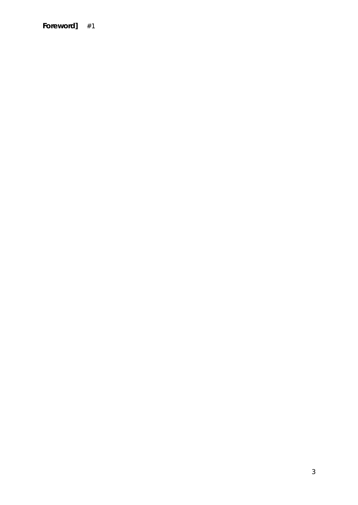**Foreword**] #1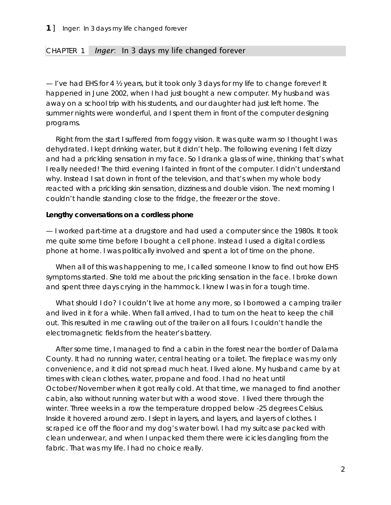# CHAPTER 1 *Inger*: In 3 days my life changed forever

— I've had EHS for 4 ½ years, but it took only 3 days for my life to change forever! It happened in June 2002, when I had just bought a new computer. My husband was away on a school trip with his students, and our daughter had just left home. The summer nights were wonderful, and I spent them in front of the computer designing programs.

 Right from the start I suffered from foggy vision. It was quite warm so I thought I was dehydrated. I kept drinking water, but it didn't help. The following evening I felt dizzy and had a prickling sensation in my face. So I drank a glass of wine, thinking that's what I really needed! The third evening I fainted in front of the computer. I didn't understand why. Instead I sat down in front of the television, and that's when my whole body reacted with a prickling skin sensation, dizziness and double vision. The next morning I couldn't handle standing close to the fridge, the freezer or the stove.

### **Lengthy conversations on a cordless phone**

— I worked part-time at a drugstore and had used a computer since the 1980s. It took me quite some time before I bought a cell phone. Instead I used a digital cordless phone at home. I was politically involved and spent a lot of time on the phone.

 When all of this was happening to me, I called someone I know to find out how EHS symptoms started. She told me about the prickling sensation in the face. I broke down and spent three days crying in the hammock. I knew I was in for a tough time.

 What should I do? I couldn't live at home any more, so I borrowed a camping trailer and lived in it for a while. When fall arrived, I had to turn on the heat to keep the chill out. This resulted in me crawling out of the trailer on all fours. I couldn't handle the electromagnetic fields from the heater's battery.

 After some time, I managed to find a cabin in the forest near the border of Dalarna County. It had no running water, central heating or a toilet. The fireplace was my only convenience, and it did not spread much heat. I lived alone. My husband came by at times with clean clothes, water, propane and food. I had no heat until October/November when it got really cold. At that time, we managed to find another cabin, also without running water but with a wood stove. I lived there through the winter. Three weeks in a row the temperature dropped below -25 degrees Celsius. Inside it hovered around zero. I slept in layers, and layers, and layers of clothes. I scraped ice off the floor and my dog's water bowl. I had my suitcase packed with clean underwear, and when I unpacked them there were icicles dangling from the fabric. That was my life. I had no choice really.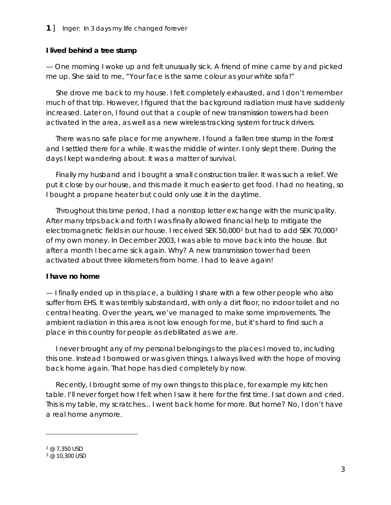# **I lived behind a tree stump**

— One morning I woke up and felt unusually sick. A friend of mine came by and picked me up. She said to me, "Your face is the same colour as your white sofa!"

 She drove me back to my house. I felt completely exhausted, and I don't remember much of that trip. However, I figured that the background radiation must have suddenly increased. Later on, I found out that a couple of new transmission towers had been activated in the area, as well as a new wireless tracking system for truck drivers.

 There was no safe place for me anywhere. I found a fallen tree stump in the forest and I settled there for a while. It was the middle of winter. I only slept there. During the days I kept wandering about. It was a matter of survival.

 Finally my husband and I bought a small construction trailer. It was such a relief. We put it close by our house, and this made it much easier to get food. I had no heating, so I bought a propane heater but could only use it in the daytime.

 Throughout this time period, I had a nonstop letter exchange with the municipality. After many trips back and forth I was finally allowed financial help to mitigate the electromagnetic fields in our house. I received SEK 50,000? but had to add SEK 70,0003 of my own money. In December 2003, I was able to move back into the house. But after a month I became sick again. Why? A new transmission tower had been activated about three kilometers from home. I had to leave again!

# **I have no home**

— I finally ended up in this place, a building I share with a few other people who also suffer from EHS. It was terribly substandard, with only a dirt floor, no indoor toilet and no central heating. Over the years, we've managed to make some improvements. The ambient radiation in this area is not low enough for me, but it's hard to find such a place in this country for people as debilitated as we are.

 I never brought any of my personal belongings to the places I moved to, including this one. Instead I borrowed or was given things. I always lived with the hope of moving back home again. That hope has died completely by now.

 Recently, I brought some of my own things to this place, for example my kitchen table. I'll never forget how I felt when I saw it here for the first time. I sat down and cried. This is *my* table, *my* scratches... I went back home for more. But home? No, I don't have a real home anymore.

<sup>2 @ 7,350</sup> USD

<sup>3 @ 10,300</sup> USD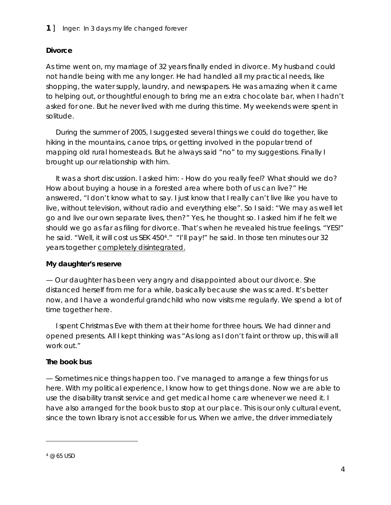**1** ] *Inge*r: In 3 days my life changed forever

# **Divorce**

As time went on, my marriage of 32 years finally ended in divorce. My husband could not handle being with me any longer. He had handled all my practical needs, like shopping, the water supply, laundry, and newspapers. He was amazing when it came to helping out, or thoughtful enough to bring me an extra chocolate bar, when I hadn't asked for one. But he never lived with me during this time. My weekends were spent in solitude.

 During the summer of 2005, I suggested several things we could do together, like hiking in the mountains, canoe trips, or getting involved in the popular trend of mapping old rural homesteads. But he always said "no" to my suggestions. Finally I brought up our relationship with him.

 It was a short discussion. I asked him: - How do you really feel? What should we do? How about buying a house in a forested area where both of us can live?" He answered, "I don't know what to say. I just know that I really can't live like you have to live, without television, without radio and everything else". So I said: "We may as well let go and live our own separate lives, then?" Yes, he thought so. I asked him if he felt we should we go as far as filing for divorce. That's when he revealed his true feelings. "YES!" he said. "Well, it will cost us SEK 450.<sup>4</sup>.." "I'll pay!" he said. In those ten minutes our 32 years together completely disintegrated.

# **My daughter's reserve**

— Our daughter has been very angry and disappointed about our divorce. She distanced herself from me for a while, basically because she was scared. It's better now, and I have a wonderful grandchild who now visits me regularly. We spend a lot of time together here.

 I spent Christmas Eve with them at their home for three hours. We had dinner and opened presents. All I kept thinking was "As long as I don't faint or throw up, this will all work out."

# **The book bus**

— Sometimes nice things happen too. I've managed to arrange a few things for us here. With my political experience, I know how to get things done. Now we are able to use the disability transit service and get medical home care whenever we need it. I have also arranged for the book bus to stop at our place. This is our only cultural event, since the town library is not accessible for us. When we arrive, the driver immediately

-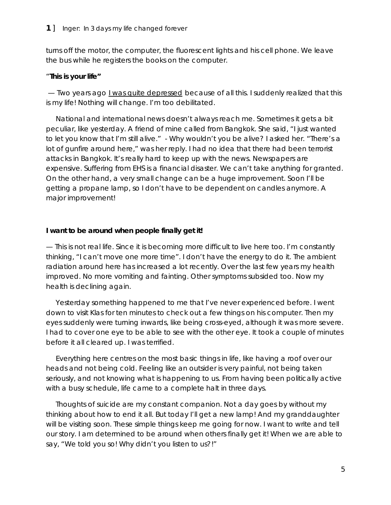turns off the motor, the computer, the fluorescent lights and his cell phone. We leave the bus while he registers the books on the computer.

# "**This is your life"**

— Two years ago I was quite depressed because of all this. I suddenly realized that this is my life! Nothing will change. I'm too debilitated.

 National and international news doesn't always reach me. Sometimes it gets a bit peculiar, like yesterday. A friend of mine called from Bangkok. She said, "I just wanted to let you know that I'm still alive." - Why wouldn't you be alive? I asked her. "There's a lot of gunfire around here," was her reply. I had no idea that there had been terrorist attacks in Bangkok. It's really hard to keep up with the news. Newspapers are expensive. Suffering from EHS is a financial disaster. We can't take anything for granted. On the other hand, a very small change can be a huge improvement. Soon I'll be getting a propane lamp, so I don't have to be dependent on candles anymore. A major improvement!

# **I want to be around when people finally get it!**

— This is not real life. Since it is becoming more difficult to live here too. I'm constantly thinking, "I can't move one more time". I don't have the energy to do it. The ambient radiation around here has increased a lot recently. Over the last few years my health improved. No more vomiting and fainting. Other symptoms subsided too. Now my health is declining again.

 Yesterday something happened to me that I've never experienced before. I went down to visit *Klas* for ten minutes to check out a few things on his computer. Then my eyes suddenly were turning inwards, like being cross-eyed, although it was more severe. I had to cover one eye to be able to see with the other eye. It took a couple of minutes before it all cleared up. I was terrified.

 Everything here centres on the most basic things in life, like having a roof over our heads and not being cold. Feeling like an outsider is very painful, not being taken seriously, and not knowing what is happening to us. From having been politically active with a busy schedule, life came to a complete halt in three days.

 Thoughts of suicide are my constant companion. Not a day goes by without my thinking about how to end it all. But today I'll get a new lamp! And my granddaughter will be visiting soon. These simple things keep me going for now. I want to write and tell our story. I am determined to be around when others finally get it! When we are able to say, "We told you so! Why didn't you listen to us?!"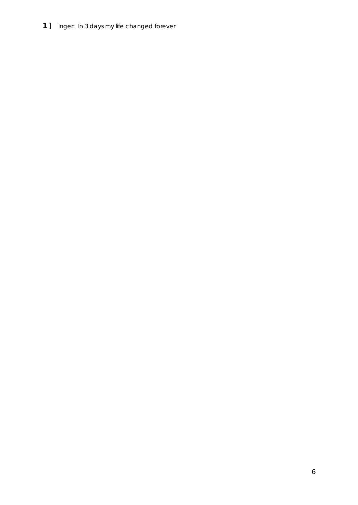] *Inge*r: In 3 days my life changed forever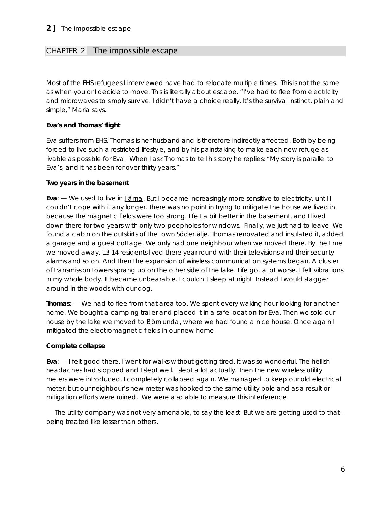# CHAPTER 2 The impossible escape

Most of the EHS refugees I interviewed have had to relocate multiple times. This is not the same as when you or I decide to move. This is literally about escape. "I've had to flee from electricity and microwaves to simply survive. I didn't have a choice really. It's the survival instinct, plain and simple," *Maria* says.

### *Eva's* **and** *Thomas'* **flight**

*Eva* suffers from EHS. *Thomas* is her husband and is therefore indirectly affected. Both by being forced to live such a restricted lifestyle, and by his painstaking to make each new refuge as livable as possible for Eva. When I ask *Thomas* to tell his story he replies: "My story is parallel to *Eva's,* and it has been for over thirty years."

### **Two years in the basement**

*Eva*: — We used to live in Järna. But I became increasingly more sensitive to electricity, until I couldn't cope with it any longer. There was no point in trying to mitigate the house we lived in because the magnetic fields were too strong. I felt a bit better in the basement, and I lived down there for two years with only two peepholes for windows. Finally, we just had to leave. We found a cabin on the outskirts of the town Södertälje. Thomas renovated and insulated it, added a garage and a guest cottage. We only had one neighbour when we moved there. By the time we moved away, 13-14 residents lived there year round with their televisions and their security alarms and so on. And then the expansion of wireless communication systems began. A cluster of transmission towers sprang up on the other side of the lake. Life got a lot worse. I felt vibrations in my whole body. It became unbearable. I couldn't sleep at night. Instead I would stagger around in the woods with our dog.

*Thomas*: — We had to flee from that area too. We spent every waking hour looking for another home. We bought a camping trailer and placed it in a safe location for Eva. Then we sold our house by the lake we moved to Björnlunda, where we had found a nice house. Once again I mitigated the electromagnetic fields in our new home.

### **Complete collapse**

*Eva*:  $-$  I felt good there. I went for walks without getting tired. It was so wonderful. The hellish headaches had stopped and I slept well. I slept a lot actually. Then the new wireless utility meters were introduced. I completely collapsed again. We managed to keep our old electrical meter, but our neighbour's new meter was hooked to the same utility pole and as a result or mitigation efforts were ruined. We were also able to measure this interference.

 The utility company was not very amenable, to say the least. But we are getting used to that being treated like lesser than others.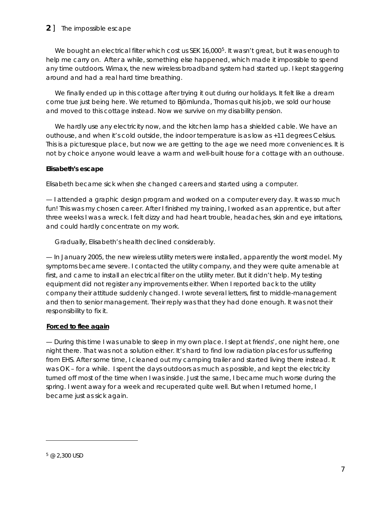We bought an electrical filter which cost us SEK 16,000<sup>5</sup>. It wasn't great, but it was enough to help me carry on. After a while, something else happened, which made it impossible to spend any time outdoors. Wimax, the new wireless broadband system had started up. I kept staggering around and had a real hard time breathing.

 We finally ended up in this cottage after trying it out during our holidays. It felt like a dream come true just being here. We returned to Björnlunda, *Thomas* quit his job, we sold our house and moved to this cottage instead. Now we survive on my disability pension.

 We hardly use any electricity now, and the kitchen lamp has a shielded cable. We have an outhouse, and when it's cold outside, the indoor temperature is as low as +11 degrees Celsius. This is a picturesque place, but now we are getting to the age we need more conveniences. It is not by choice anyone would leave a warm and well-built house for a cottage with an outhouse.

### *Elisabeth'***s escape**

*Elisabeth* became sick when she changed careers and started using a computer.

— I attended a graphic design program and worked on a computer every day. It was so much fun! This was my chosen career. After I finished my training, I worked as an apprentice, but after three weeks I was a wreck. I felt dizzy and had heart trouble, headaches, skin and eye irritations, and could hardly concentrate on my work.

Gradually, Elisabeth's health declined considerably.

— In January 2005, the new wireless utility meters were installed, apparently the worst model. My symptoms became severe. I contacted the utility company, and they were quite amenable at first, and came to install an electrical filter on the utility meter. But it didn't help. My testing equipment did not register any improvements either. When I reported back to the utility company their attitude suddenly changed. I wrote several letters, first to middle-management and then to senior management. Their reply was that they had done enough. It was not their responsibility to fix it.

### Forced to flee again

— During this time I was unable to sleep in my own place. I slept at friends', one night here, one night there. That was not a solution either. It's hard to find low radiation places for us suffering from EHS. After some time, I cleaned out my camping trailer and started living there instead. It was OK – for a while. I spent the days outdoors as much as possible, and kept the electricity turned off most of the time when I was inside. Just the same, I became much worse during the spring. I went away for a week and recuperated quite well. But when I returned home, I became just as sick again.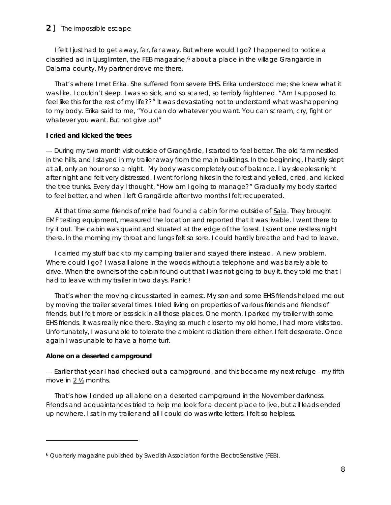I felt I just had to get away, far, far away. But where would I go? I happened to notice a classified ad in *Ljusglimten*, the FEB magazine,<sup>6</sup> about a place in the village Grangärde in Dalarna county. My partner drove me there.

 That's where I met Erika. She suffered from severe EHS. Erika understood me; she knew what it was like. I couldn't sleep. I was so sick, and *so scared,* so terribly frightened. "Am I supposed to feel like this for the rest of my life??" It was devastating not to understand what was happening to my body. Erika said to me, "You can do whatever you want. You can scream, cry, fight or whatever you want. But *not give up*!"

#### **I cried and kicked the trees**

— During my two month visit outside of Grangärde, I started to feel better. The old farm nestled in the hills, and I stayed in my trailer away from the main buildings. In the beginning, I hardly slept at all, only an hour or so a night. My body was completely out of balance. I lay sleepless night after night and felt very distressed. I went for long hikes in the forest and yelled, cried, and kicked the tree trunks. Every day I thought, "How am I going to manage?" Gradually my body started to feel better, and when I left Grangärde after two months I felt recuperated.

At that time some friends of mine had found a cabin for me outside of Sala. They brought EMF testing equipment, measured the location and reported that it was livable. I went there to try it out. The cabin was quaint and situated at the edge of the forest. I spent one restless night there. In the morning my throat and lungs felt so sore. I could hardly breathe and had to leave.

 I carried my stuff back to my camping trailer and stayed there instead. A new problem. Where could I go? I was all alone in the woods without a telephone and was barely able to drive. When the owners of the cabin found out that I was not going to buy it, they told me that I had to leave with my trailer in two days. Panic!

 That's when the moving circus started in earnest. My son and some EHS friends helped me out by moving the trailer several times. I tried living on properties of various friends and friends of friends, but I felt more or less sick in all those places. One month, I parked my trailer with some EHS friends. It was really nice there. Staying so much closer to my old home, I had more visits too. Unfortunately, I was unable to tolerate the ambient radiation there either. I felt desperate. Once again I was unable to have a home turf.

### **Alone on a deserted campground**

— Earlier that year I had checked out a campground, and this became my next refuge - my fifth move in  $2 \frac{1}{2}$  months.

 That's how I ended up all alone on a deserted campground in the November darkness. Friends and acquaintances tried to help me look for a decent place to live, but all leads ended up nowhere. I sat in my trailer and all I could do was write letters. I felt so helpless.

<sup>6</sup> Quarterly magazine published by Swedish Association for the ElectroSensitive (FEB).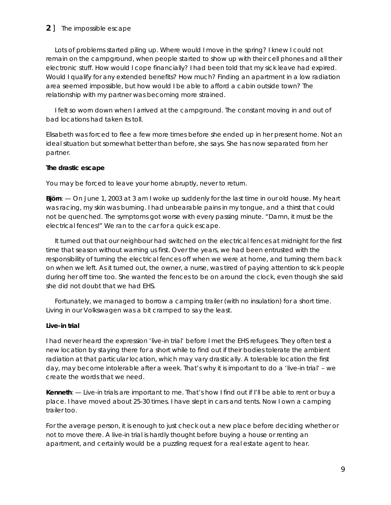Lots of problems started piling up. Where would I move in the spring? I knew I could not remain on the campground, when people started to show up with their cell phones and all their electronic stuff. How would I cope financially? I had been told that my sick leave had expired. Would I qualify for any extended benefits? How much? Finding an apartment in a low radiation area seemed impossible, but how would I be able to afford a cabin outside town? The relationship with my partner was becoming more strained.

 I felt so worn down when I arrived at the campground. The constant moving in and out of bad locations had taken its toll.

*Elisabeth* was forced to flee a few more times before she ended up in her present home. Not an ideal situation but somewhat better than before, she says. She has now separated from her partner.

### **The drastic escape**

You may be forced to leave your home abruptly, never to return.

*Björn*: — On June 1, 2003 at 3 am I woke up suddenly for the last time in our old house. My heart was racing, my skin was burning. I had unbearable pains in my tongue, and a thirst that could not be quenched. The symptoms got worse with every passing minute. "Damn, it must be the electrical fences!" We ran to the car for a quick escape.

 It turned out that our neighbour had switched on the electrical fences at midnight for the first time that season without warning us first. Over the years, we had been entrusted with the responsibility of turning the electrical fences off when we were at home, and turning them back on when we left. As it turned out, the owner, a nurse, was tired of paying attention to sick people during her off time too. She wanted the fences to be on around the clock, even though she said she did not doubt that we had EHS.

 Fortunately, we managed to borrow a camping trailer (with no insulation) for a short time. Living in our Volkswagen was a bit cramped to say the least.

### **Live-in trial**

I had never heard the expression 'live-in trial' before I met the EHS refugees. They often test a new location by staying there for a short while to find out if their bodies tolerate the ambient radiation at that particular location, which may vary drastically. A tolerable location the first day, may become intolerable after a week. That's why it is important to do a 'live-in trial' – we create the words that we need.

*Kenneth:* — Live-in trials are important to me. That's how I find out if I'll be able to rent or buy a place. I have moved about 25-30 times. I have slept in cars and tents. Now I own a camping trailer too.

For the average person, it is enough to just check out a new place before deciding whether or not to move there. A live-in trial is hardly thought before buying a house or renting an apartment, and certainly would be a puzzling request for a real estate agent to hear.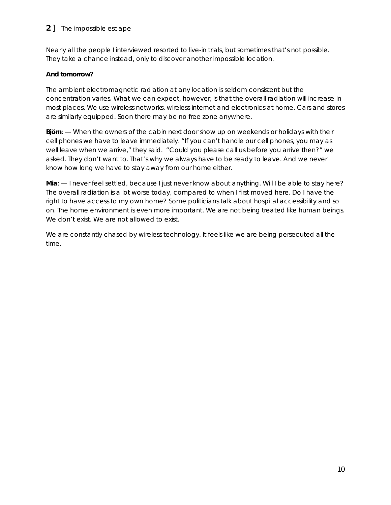Nearly all the people I interviewed resorted to live-in trials, but sometimes that's not possible. They take a chance instead, only to discover another impossible location.

### **And tomorrow?**

The ambient electromagnetic radiation at any location is seldom consistent but the concentration varies. What we can expect, however, is that the overall radiation will increase in most places. We use wireless networks, wireless internet and electronics at home. Cars and stores are similarly equipped. Soon there may be no free zone anywhere.

*Björn:* — When the owners of the cabin next door show up on weekends or holidays with their cell phones we have to leave immediately. "If you can't handle our cell phones, you may as well leave when we arrive," they said. "Could you please call us before you arrive then?" we asked. They don't want to. That's why we always have to be ready to leave. And we never know how long we have to stay away from our home either.

*Mia*: — I never feel settled, because I just never know about anything. Will I be able to stay here? The overall radiation is a lot worse today, compared to when I first moved here. Do I have the right to have access to my own home? Some politicians talk about hospital accessibility and so on. The home environment is even more important. We are not being treated like human beings. We don't exist. We are not allowed to exist.

We are constantly chased by wireless technology. It feels like we are being persecuted all the time.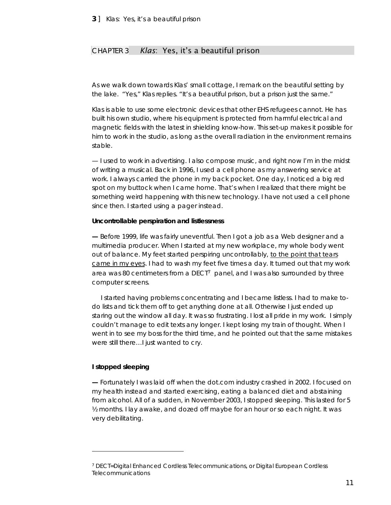# CHAPTER 3 *Klas*: Yes, it's a beautiful prison

As we walk down towards *Klas*' small cottage, I remark on the beautiful setting by the lake. "Yes," *Klas* replies. "It's a beautiful prison, but a prison just the same."

*Klas* is able to use some electronic devices that other EHS refugees cannot. He has built his own studio, where his equipment is protected from harmful electrical and magnetic fields with the latest in shielding know-how. This set-up makes it possible for him to work in the studio, as long as the overall radiation in the environment remains stable.

— I used to work in advertising. I also compose music, and right now I'm in the midst of writing a musical. Back in 1996, I used a cell phone as my answering service at work. I always carried the phone in my back pocket. One day, I noticed a big red spot on my buttock when I came home. That's when I realized that there might be something weird happening with this new technology. I have not used a cell phone since then. I started using a pager instead.

#### **Uncontrollable perspiration and listlessness**

**—** Before 1999, life was fairly uneventful. Then I got a job as a Web designer and a multimedia producer. When I started at my new workplace, my whole body went out of balance. My feet started perspiring uncontrollably, to the point that tears came in my eyes. I had to wash my feet five times a day. It turned out that my work area was 80 centimeters from a DECT<sup>7</sup> panel, and I was also surrounded by three computer screens.

 I started having problems concentrating and I became listless. I had to make todo lists and tick them off to get anything done at all. Otherwise I just ended up staring out the window all day. It was so frustrating. I lost all pride in my work. I simply couldn't manage to edit texts any longer. I kept losing my train of thought. When I went in to see my boss for the third time, and he pointed out that the same mistakes were still there…I just wanted to cry.

#### **I stopped sleeping**

**—** Fortunately I was laid off when the dot.com industry crashed in 2002. I focused on my health instead and started exercising, eating a balanced diet and abstaining from alcohol. All of a sudden, in November 2003, I stopped sleeping. This lasted for 5 ½ months. I lay awake, and dozed off maybe for an hour or so each night. It was very debilitating.

<sup>7</sup> DECT=Digital Enhanced Cordless Telecommunications, or Digital European Cordless Telecommunications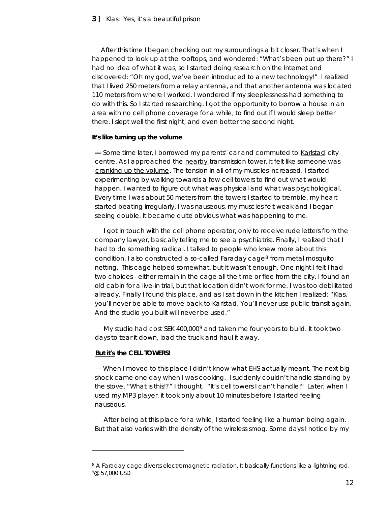#### **3** ] *Klas*: Yes, it's a beautiful prison

After this time I began checking out my surroundings a bit closer. That's when I happened to look up at the rooftops, and wondered: "What's been put up there?" I had no idea of what it was, so I started doing research on the Internet and discovered: "Oh my god, we've been introduced to a new technology!" I realized that I lived 250 meters from a relay antenna, and that another antenna was located 110 meters from where I worked. I wondered if my sleeplessness had something to do with this. So I started researching. I got the opportunity to borrow a house in an area with no cell phone coverage for a while, to find out if I would sleep better there. I slept well the first night, and even better the second night.

#### **It's like turning up the volume**

 $-$  Some time later, I borrowed my parents' car and commuted to Karlstad city centre. As I approached the nearby transmission tower, it felt like someone was cranking up the volume. The tension in all of my muscles increased. I started experimenting by walking towards a few cell towers to find out what would happen. I wanted to figure out what was physical and what was psychological. Every time I was about 50 meters from the towers I started to tremble, my heart started beating irregularly, I was nauseous, my muscles felt weak and I began seeing double. It became quite obvious what was happening to me.

 I got in touch with the cell phone operator, only to receive rude letters from the company lawyer, basically telling me to see a psychiatrist. Finally, I realized that I had to do something radical. I talked to people who knew more about this condition. I also constructed a so-called Faraday cage<sup>8</sup> from metal mosquito netting. This cage helped somewhat, but it wasn't enough. One night I felt I had two choices - either remain in the cage all the time or flee from the city. I found an old cabin for a live-in trial, but that location didn't work for me. I was too debilitated already. Finally I found this place, and as I sat down in the kitchen I realized: "Klas, you'll never be able to move back to Karlstad. You'll never use public transit again. And the studio you built will never be used."

My studio had cost SEK 400,000<sup>9</sup> and taken me four years to build. It took two days to tear it down, load the truck and haul it away.

#### **But it's the CELL TOWERS!**

— When I moved to this place I didn't know what EHS actually meant. The next big shock came one day when I was cooking. I suddenly couldn't handle standing by the stove. "What is this!?" I thought. "It's cell towers I can't handle!" Later, when I used my MP3 player, it took only about 10 minutes before I started feeling nauseous.

 After being at this place for a while, I started feeling like a human being again. But that also varies with the density of the wireless smog. Some days I notice by my

<sup>&</sup>lt;sup>8</sup> A Faraday cage diverts electromagnetic radiation. It basically functions like a lightning rod. 9@ 57,000 USD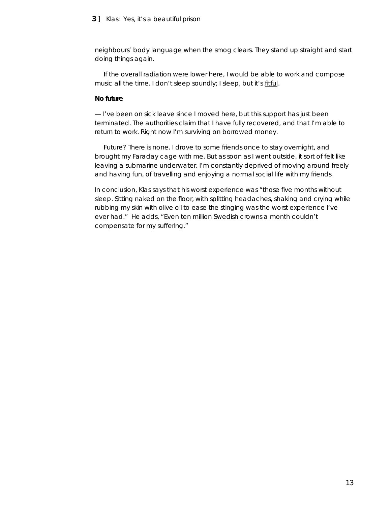#### **3** ] *Klas*: Yes, it's a beautiful prison

neighbours' body language when the smog clears. They stand up straight and start doing things again.

 If the overall radiation were lower here, I would be able to work and compose music all the time. I don't sleep soundly; I sleep, but it's fitful.

#### **No future**

— I've been on sick leave since I moved here, but this support has just been terminated. The authorities claim that I have fully recovered, and that I'm able to return to work. Right now I'm surviving on borrowed money.

 Future? There is none. I drove to some friends once to stay overnight, and brought my Faraday cage with me. But as soon as I went outside, it sort of felt like leaving a submarine underwater. I'm constantly deprived of moving around freely and having fun, of travelling and enjoying a normal social life with my friends.

In conclusion, *Klas* says that his worst experience was "those five months without sleep. Sitting naked on the floor, with splitting headaches, shaking and crying while rubbing my skin with olive oil to ease the stinging was the worst experience I've ever had." He adds, "Even ten million Swedish crowns a month couldn't compensate for my suffering."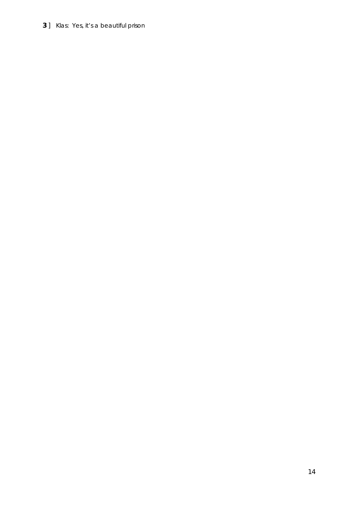# ] *Klas*: Yes, it's a beautiful prison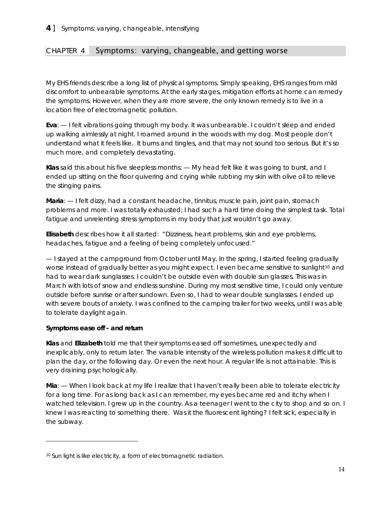# CHAPTER 4 Symptoms: varying, changeable, and getting worse

My EHS friends describe a long list of physical symptoms. Simply speaking, EHS ranges from mild discomfort to unbearable symptoms. At the early stages, mitigation efforts at home can remedy the symptoms. However, when they are more severe, the only known remedy is to live in a location free of electromagnetic pollution.

*Eva:* — I felt vibrations going through my body. It was unbearable. I couldn't sleep and ended up walking aimlessly at night. I roamed around in the woods with my dog. Most people don't understand what it feels like. It burns and tingles, and that may not sound too serious. But it's so much more, and completely devastating.

*Klas* said this about his five sleepless months: — My head felt like it was going to burst, and I ended up sitting on the floor quivering and crying while rubbing my skin with olive oil to relieve the stinging pains.

*Maria*: — I felt dizzy, had a constant headache, tinnitus, muscle pain, joint pain, stomach problems and more. I was totally exhausted; I had such a hard time doing the simplest task. Total fatigue and unrelenting stress symptoms in my body that just wouldn't go away.

*Elisabeth* describes how it all started: "Dizziness, heart problems, skin and eye problems, headaches, fatigue and a feeling of being completely unfocused."

— I stayed at the campground from October until May. In the spring, I started feeling gradually worse instead of gradually better as you might expect. I even became sensitive to sunlight<sup>10</sup> and had to wear dark sunglasses. I couldn't be outside even with double sun glasses. This was in March with lots of snow and endless sunshine. During my most sensitive time, I could only venture outside before sunrise or after sundown. Even so, I had to wear double sunglasses. I ended up with severe bouts of anxiety. I was confined to the camping trailer for two weeks, until I was able to tolerate daylight again.

### **Symptoms ease off - and return**

 $\overline{a}$ 

*Klas* and *Elizabeth* told me that their symptoms eased off sometimes, unexpectedly and inexplicably, only to return later. The variable intensity of the wireless pollution makes it difficult to plan the day, or the following day. Or even the next hour. A regular life is not attainable. This is very draining psychologically.

*Mia*: — When I look back at my life I realize that I haven't really been able to tolerate electricity for a long time. For as long back as I can remember, my eyes became red and itchy when I watched television. I grew up in the country. As a teenager I went to the city to shop and so on. I knew I was reacting to something there. Was it the fluorescent lighting? I felt sick, especially in the subway.

<sup>&</sup>lt;sup>10</sup> Sun light is like electricity, a form of electromagnetic radiation.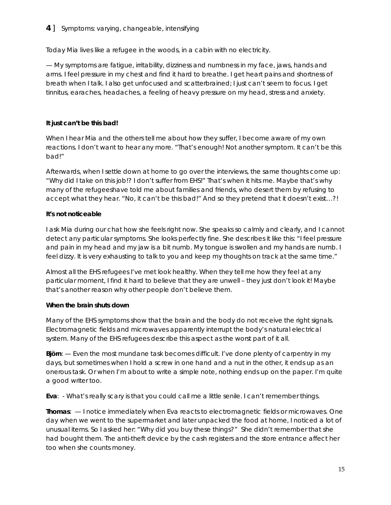Today Mia lives like a refugee in the woods, in a cabin with no electricity.

— My symptoms are fatigue, irritability, dizziness and numbness in my face, jaws, hands and arms. I feel pressure in my chest and find it hard to breathe. I get heart pains and shortness of breath when I talk. I also get unfocused and scatterbrained; I just can't seem to focus. I get tinnitus, earaches, headaches, a feeling of heavy pressure on my head, stress and anxiety.

### **It just can't be this bad!**

When I hear *Mia* and the others tell me about how they suffer, I become aware of my own reactions. I don't want to hear any more. "That's enough! Not another symptom. It can't be this bad!"

Afterwards, when I settle down at home to go over the interviews, the same thoughts come up: "Why did I take on this job!? I don't suffer from EHS!" That's when it hits me. Maybe that's why many of the refugeeshave told me about families and friends, who desert them by refusing to accept what they hear. "No, it can't be this bad!" And so they pretend that it doesn't exist…?!

### **It's not noticeable**

I ask *Mia* during our chat how she feels right now. She speaks so calmly and clearly, and I cannot detect any particular symptoms. She looks perfectly fine. She describes it like this: "I feel pressure and pain in my head and my jaw is a bit numb. My tongue is swollen and my hands are numb. I feel dizzy. It is very exhausting to talk to you and keep my thoughts on track at the same time."

Almost all the EHS refugees I've met look healthy. When they tell me how they feel at any particular moment, I find it hard to believe that they are unwell – they just don't look it! Maybe that's another reason why other people don't believe them.

### **When the brain shuts down**

Many of the EHS symptoms show that the brain and the body do not receive the right signals. Electromagnetic fields and microwaves apparently interrupt the body's natural electrical system. Many of the EHS refugees describe this aspect as the worst part of it all.

*Björn:* — Even the most mundane task becomes difficult. I've done plenty of carpentry in my days, but sometimes when I hold a screw in one hand and a nut in the other, it ends up as an onerous task. Or when I'm about to write a simple note, nothing ends up on the paper. I'm quite a good writer too.

*Eva*: - What's really scary is that you could call me a little senile. I can't remember things.

*Thomas*: — I notice immediately when *Eva* reacts to electromagnetic fields or microwaves. One day when we went to the supermarket and later unpacked the food at home, I noticed a lot of unusual items. So I asked her: "Why did you buy these things?" She didn't remember that she had bought them. The anti-theft device by the cash registers and the store entrance affect her too when she counts money.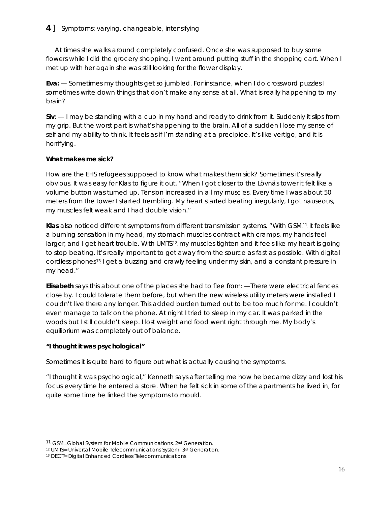At times she walks around completely confused. Once she was supposed to buy some flowers while I did the grocery shopping. I went around putting stuff in the shopping cart. When I met up with her again she was still looking for the flower display.

*Eva*: — Sometimes my thoughts get so jumbled. For instance, when I do crossword puzzles I sometimes write down things that don't make any sense at all. What is really happening to my brain?

*Siv*:  $-$  I may be standing with a cup in my hand and ready to drink from it. Suddenly it slips from my grip. But the worst part is what's happening to the brain. All of a sudden I lose my sense of self and my ability to think. It feels as if I'm standing at a precipice. It's like vertigo, and it is horrifying.

#### **What makes me sick?**

How are the EHS refugees supposed to know what makes them sick? Sometimes it's really obvious. It was easy for *Klas* to figure it out*. "*When I got closer to the Lövnäs tower it felt like a volume button was turned up. Tension increased in all my muscles. Every time I was about 50 meters from the tower I started trembling. My heart started beating irregularly, I got nauseous, my muscles felt weak and I had double vision."

Klas also noticed different symptoms from different transmission systems. "With GSM<sup>11</sup> it feels like a burning sensation in my head, my stomach muscles contract with cramps, my hands feel larger, and I get heart trouble. With UMTS<sup>12</sup> my muscles tighten and it feels like my heart is going to stop beating. It's really important to get away from the source as fast as possible. With digital cordless phones<sup>13</sup>. I get a buzzing and crawly feeling under my skin, and a constant pressure in my head."

*Elisabeth* says this about one of the places she had to flee from: —There were electrical fences close by. I could tolerate them before, but when the new wireless utility meters were installed I couldn't live there any longer. This added burden turned out to be too much for me. I couldn't even manage to talk on the phone. At night I tried to sleep in my car. It was parked in the woods but I still couldn't sleep. I lost weight and food went right through me. My body's equilibrium was completely out of balance.

### **"I thought it was psychological"**

Sometimes it is quite hard to figure out what is actually causing the symptoms.

"I thought it was psychological," *Kenneth* says after telling me how he became dizzy and lost his focus every time he entered a store. When he felt sick in some of the apartments he lived in, for quite some time he linked the symptoms to mould.

<sup>&</sup>lt;sup>11</sup> GSM=Global System for Mobile Communications. 2<sup>nd</sup> Generation.

<sup>&</sup>lt;sup>12</sup> UMTS= Universal Mobile Telecommunications System.  $3<sup>rd</sup>$  Generation. <sup>13</sup> DECT= Digital Enhanced Cordless Telecommunications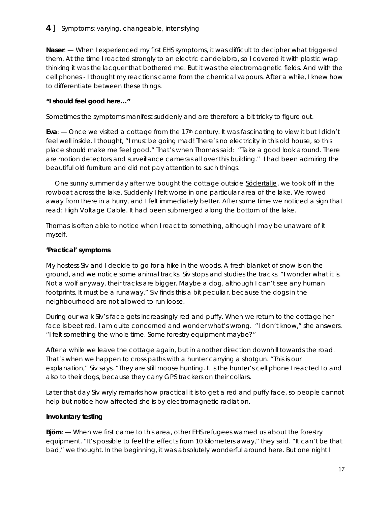*Naser*: — When I experienced my first EHS symptoms, it was difficult to decipher what triggered them. At the time I reacted strongly to an electric candelabra, so I covered it with plastic wrap thinking it was the lacquer that bothered me. But it was the electromagnetic fields. And with the cell phones - I thought my reactions came from the chemical vapours. After a while, I knew how to differentiate between these things.

### **"I should feel good here…"**

Sometimes the symptoms manifest suddenly and are therefore a bit tricky to figure out.

*Eva*: — Once we visited a cottage from the 17<sup>th</sup> century. It was fascinating to view it but I didn't feel well inside. I thought, "I must be going mad! There's no electricity in this old house, so this place should make me feel good." That's when Thomas said: "Take a good look around. There are motion detectors and surveillance cameras all over this building." I had been admiring the beautiful old furniture and did not pay attention to such things.

One sunny summer day after we bought the cottage outside Södertälje, we took off in the rowboat across the lake. Suddenly I felt worse in one particular area of the lake. We rowed away from there in a hurry, and I felt immediately better. After some time we noticed a sign that read: *High Voltage Cable*. It had been submerged along the bottom of the lake.

Thomas is often able to notice when I react to something, although I may be unaware of it myself.

#### **'Practical' symptoms**

My hostess *Siv* and I decide to go for a hike in the woods. A fresh blanket of snow is on the ground, and we notice some animal tracks. Siv stops and studies the tracks. "I wonder what it is. Not a wolf anyway, their tracks are bigger. Maybe a dog, although I can't see any human footprints. It must be a runaway." Siv finds this a bit peculiar, because the dogs in the neighbourhood are not allowed to run loose.

During our walk Siv's face gets increasingly red and puffy. When we return to the cottage her face is beet red. I am quite concerned and wonder what's wrong. "I don't know," she answers. "I felt something the whole time. Some forestry equipment maybe?"

After a while we leave the cottage again, but in another direction downhill towards the road. That's when we happen to cross paths with a hunter carrying a shotgun. "This is our explanation," Siv says. "They are still moose hunting. It is the hunter's cell phone I reacted to and also to their dogs, because they carry GPS trackers on their collars.

Later that day Siv wryly remarks how practical it is to get a red and puffy face, so people cannot help but notice how affected she is by electromagnetic radiation.

### **Involuntary testing**

*Björn*: — When we first came to this area, other EHS refugees warned us about the forestry equipment. "It's possible to feel the effects from 10 kilometers away," they said. "It can't be that bad," we thought. In the beginning, it was absolutely wonderful around here. But one night I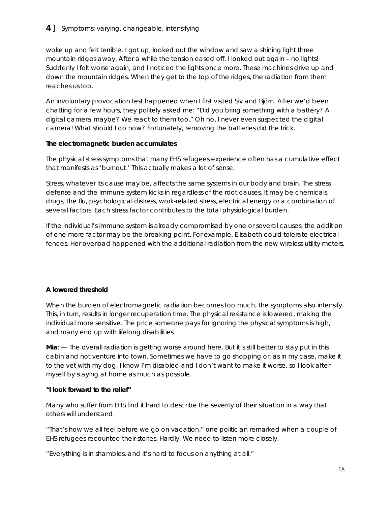woke up and felt terrible. I got up, looked out the window and saw a shining light three mountain ridges away. After a while the tension eased off. I looked out again – no lights! Suddenly I felt worse again, and I noticed the lights once more. These machines drive up and down the mountain ridges. When they get to the top of the ridges, the radiation from them reaches us too.

An involuntary provocation test happened when I first visited *Siv* and *Björn*. After we'd been chatting for a few hours, they politely asked me: "Did you bring something with a battery? A digital camera maybe? We react to them too." Oh no, I never even suspected the digital camera! What should I do now? Fortunately, removing the batteries did the trick.

### **The electromagnetic burden accumulates**

The physical stress symptoms that many EHS refugees experience often has a cumulative effect that manifests as 'burnout.' This actually makes a lot of sense.

Stress, whatever its cause may be, affects the same systems in our body and brain. The stress defense and the immune system kicks in regardless of the root causes. It may be chemicals, drugs, the flu, psychological distress, work-related stress, electrical energy or a combination of several factors. Each stress factor contributes to the total physiological burden.

If the individual's immune system is already compromised by one or several causes, the addition of one more factor may be the breaking point. For example, *Elisabeth* could tolerate electrical fences. Her overload happened with the additional radiation from the new wireless utility meters.

# **A lowered threshold**

When the burden of electromagnetic radiation becomes too much, the symptoms also intensify. This, in turn, results in longer recuperation time. The physical resistance is lowered, making the individual more sensitive. The price someone pays for ignoring the physical symptoms is high, and many end up with lifelong disabilities.

*Mia*: — The overall radiation is getting worse around here. But it's still better to stay put in this cabin and not venture into town. Sometimes we have to go shopping or, as in my case, make it to the vet with my dog. I know I'm disabled and I don't want to make it worse, so I look after myself by staying at home as much as possible.

### **"I look forward to the relief"**

Many who suffer from EHS find it hard to describe the severity of their situation in a way that others will understand.

"That's how we all feel before we go on vacation," one politician remarked when a couple of EHS refugees recounted their stories. Hardly. We need to listen more closely.

"Everything is in shambles, and it's hard to focus on anything at all."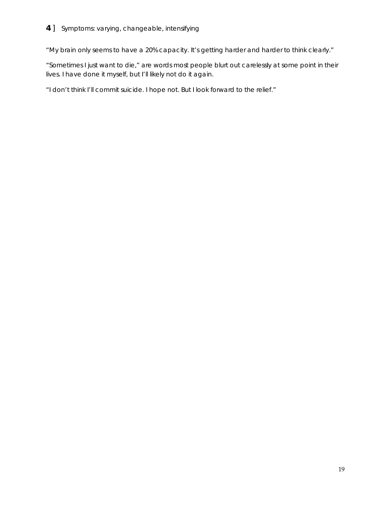"My brain only seems to have a 20% capacity. It's getting harder and harder to think clearly."

"Sometimes I just want to die," are words most people blurt out carelessly at some point in their lives. I have done it myself, but I'll likely not do it again.

"I don't think I'll commit suicide. I hope not. But I look forward to the relief."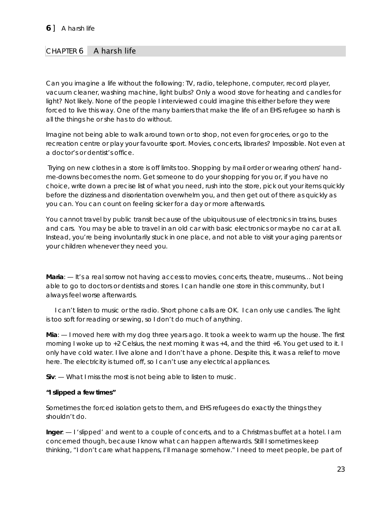# CHAPTER 6 A harsh life

Can you imagine a life without the following: TV, radio, telephone, computer, record player, vacuum cleaner, washing machine, light bulbs? Only a wood stove for heating and candles for light? Not likely. None of the people I interviewed could imagine this either before they were forced to live this way. One of the many barriers that make the life of an EHS refugee so harsh is all the things he or she has to do without.

Imagine not being able to walk around town or to shop, not even for groceries, or go to the recreation centre or play your favourite sport. Movies, concerts, libraries? Impossible. Not even at a doctor's or dentist's office.

 Trying on new clothes in a store is off limits too. Shopping by mail order or wearing others' handme-downs becomes the norm. Get someone to do your shopping for you or, if you have no choice, write down a precise list of what you need, rush into the store, pick out your items quickly before the dizziness and disorientation overwhelm you, and then get out of there as quickly as you can. You can count on feeling sicker for a day or more afterwards.

You cannot travel by public transit because of the ubiquitous use of electronics in trains, buses and cars. You may be able to travel in an old car with basic electronics or maybe no car at all. Instead, you're being involuntarily stuck in one place, and not able to visit your aging parents or your children whenever they need you.

*Maria*:  $-$  It's a real sorrow not having access to movies, concerts, theatre, museums... Not being able to go to doctors or dentists and stores. I can handle one store in this community, but I always feel worse afterwards.

 I can't listen to music or the radio. Short phone calls are OK. I can only use candles. The light is too soft for reading or sewing, so I don't do much of anything.

*Mia*:  $-1$  moved here with my dog three years ago. It took a week to warm up the house. The first morning I woke up to +2 Celsius, the next morning it was +4, and the third +6. You get used to it. I only have cold water. I live alone and I don't have a phone. Despite this, it was a relief to move here. The electricity is turned off, so I can't use any electrical appliances.

*Siv*: — What I miss the most is not being able to listen to music.

#### **"I slipped a few times"**

Sometimes the forced isolation gets to them, and EHS refugees do exactly the things they shouldn't do.

*Inger*: — I 'slipped' and went to a couple of concerts, and to a Christmas buffet at a hotel. I am concerned though, because I know what can happen afterwards. Still I sometimes keep thinking, "I don't care what happens, I'll manage somehow." I need to meet people, be part of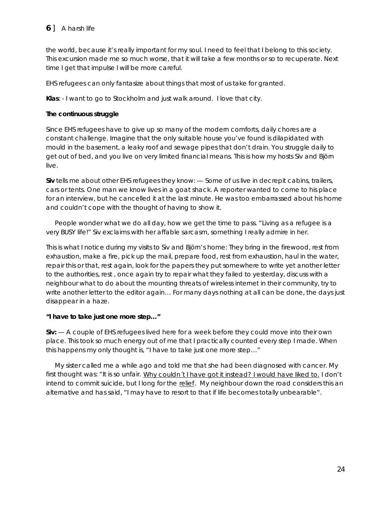# **6** ] A harsh life

the world, because it's really important for my soul. I need to feel that I belong to this society. This excursion made me so much worse, that it will take a few months or so to recuperate. Next time I get that impulse I will be more careful.

EHS refugees can only fantasize about things that most of us take for granted.

*Klas*: - I want to go to Stockholm and just walk around. I love that city.

### **The continuous struggle**

Since EHS refugees have to give up so many of the modern comforts, daily chores are a constant challenge. Imagine that the only suitable house you've found is dilapidated with mould in the basement, a leaky roof and sewage pipes that don't drain. You struggle daily to get out of bed, and you live on very limited financial means. This is how my hosts *Siv* and *Björn* live.

**Siv** tells me about other EHS refugees they know: — Some of us live in decrepit cabins, trailers, cars or tents. One man we know lives in a goat shack. A reporter wanted to come to his place for an interview, but he cancelled it at the last minute. He was too embarrassed about his home and couldn't cope with the thought of having to show it.

 People wonder what we do all day, how we get the time to pass. "Living as a refugee is a very BUSY life!" *Siv* exclaims with her affable sarcasm, something I really admire in her.

This is what I notice during my *visits to Siv and Björn's* home: They bring in the firewood, rest from exhaustion, make a fire, pick up the mail, prepare food, rest from exhaustion, haul in the water, repair this or that, rest again, look for the papers they put somewhere to write yet another letter to the authorities, rest , once again try to repair what they failed to yesterday, discuss with a neighbour what to do about the mounting threats of wireless internet in their community, try to write another letter to the editor again… For many days nothing at all can be done, the days just disappear in a haze.

# **"I have to take just one more step…"**

**Siv.** — A couple of EHS refugees lived here for a week before they could move into their own place. This took so much energy out of me that I practically counted every step I made. When this happens my only thought is, "I have to take just one more step…"

 My sister called me a while ago and told me that she had been diagnosed with cancer. My first thought was: "It is so unfair. Why couldn't I have got it instead? I would have liked to. I don't intend to commit suicide, but I long for the relief. My neighbour down the road considers this an alternative and has said, "I may have to resort to that if life becomes totally unbearable".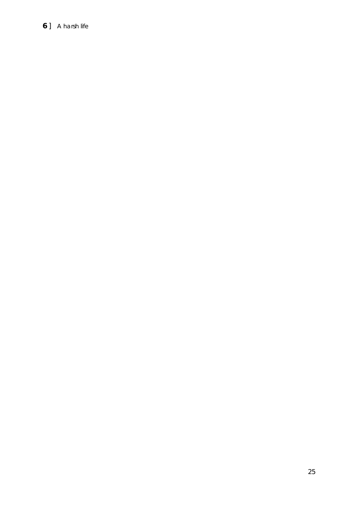# ] A harsh life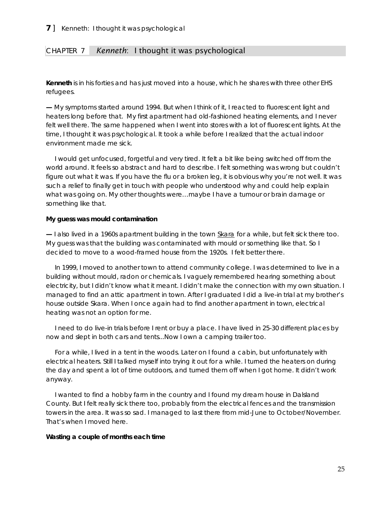# CHAPTER 7 *Kenneth*: I thought it was psychological

*Kenneth* is in his forties and has just moved into a house, which he shares with three other EHS refugees.

**—** My symptoms started around 1994. But when I think of it, I reacted to fluorescent light and heaters long before that. My first apartment had old-fashioned heating elements, and I never felt well there. The same happened when I went into stores with a lot of fluorescent lights. At the time, I thought it was psychological. It took a while before I realized that the actual indoor environment made me sick.

 I would get unfocused, forgetful and very tired. It felt a bit like being switched off from the world around. It feels so abstract and hard to describe. I felt something was wrong but couldn't figure out what it was. If you have the flu or a broken leg, it is obvious why you're not well. It was such a relief to finally get in touch with people who understood why and could help explain what was going on. My other thoughts were…maybe I have a tumour or brain damage or something like that.

#### **My guess was mould contamination**

— I also lived in a 1960s apartment building in the town **Skara** for a while, but felt sick there too. My guess was that the building was contaminated with mould or something like that. So I decided to move to a wood-framed house from the 1920s. I felt better there.

 In 1999, I moved to another town to attend community college. I was determined to live in a building without mould, radon or chemicals. I vaguely remembered hearing something about electricity, but I didn't know what it meant. I didn't make the connection with my own situation. I managed to find an attic apartment in town. After I graduated I did a live-in trial at my brother's house outside Skara. When I once again had to find another apartment in town, electrical heating was not an option for me.

 I need to do live-in trials before I rent or buy a place. I have lived in 25-30 different places by now and slept in both cars and tents...Now I own a camping trailer too.

 For a while, I lived in a tent in the woods. Later on I found a cabin, but unfortunately with electrical heaters. Still I talked myself into trying it out for a while. I turned the heaters on during the day and spent a lot of time outdoors, and turned them off when I got home. It didn't work anyway.

 I wanted to find a hobby farm in the country and I found my dream house in Dalsland County. But I felt really sick there too, probably from the electrical fences and the transmission towers in the area. It was so sad. I managed to last there from mid-June to October/November. That's when I moved here.

#### **Wasting a couple of months each time**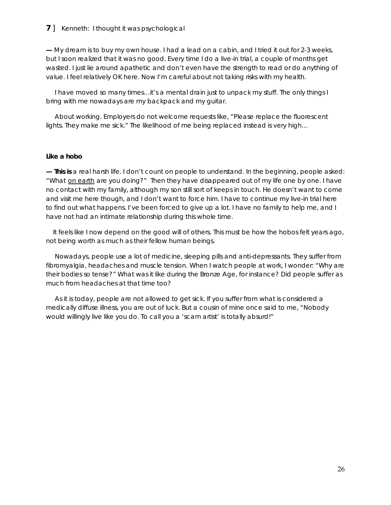# **7** ] *Kenneth:* I thought it was psychological

**—** My dream is to buy my own house. I had a lead on a cabin, and I tried it out for 2-3 weeks, but I soon realized that it was no good. Every time I do a live-in trial, a couple of months get wasted. I just lie around apathetic and don't even have the strength to read or do anything of value. I feel relatively OK here. Now I'm careful about not taking risks with my health.

 I have moved so many times…it's a mental drain just to unpack my stuff. The only things I bring with me nowadays are my backpack and my guitar.

 About working. Employers do not welcome requests like, "Please replace the fluorescent lights. They make me sick." The likelihood of me being replaced instead is very high…

#### **Like a hobo**

**— This is** a real harsh life. I don't count on people to understand. In the beginning, people asked: "What on earth are you doing?" Then they have disappeared out of my life one by one. I have no contact with my family, although my son still sort of keeps in touch. He doesn't want to come and visit me here though, and I don't want to force him. I have to continue my live-in trial here to find out what happens. I've been forced to give up a lot. I have no family to help me, and I have not had an intimate relationship during this whole time.

 It feels like I now depend on the good will of others. This must be how the hobos felt years ago, not being worth as much as their fellow human beings.

 Nowadays, people use a lot of medicine, sleeping pills and anti-depressants. They suffer from fibromyalgia, headaches and muscle tension. When I watch people at work, I wonder: "Why are their bodies so tense?" What was it like during the Bronze Age, for instance? Did people suffer as much from headaches at that time too?

 As it is today, people are not allowed to get sick. If you suffer from what is considered a medically diffuse illness, you are out of luck. But a cousin of mine once said to me, "Nobody would willingly live like you do. To call you a 'scam artist' is totally absurd!"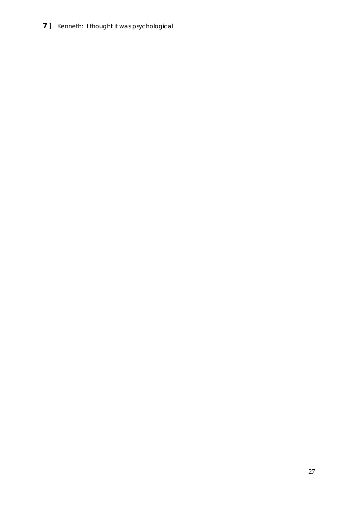# ] *Kenneth:* I thought it was psychological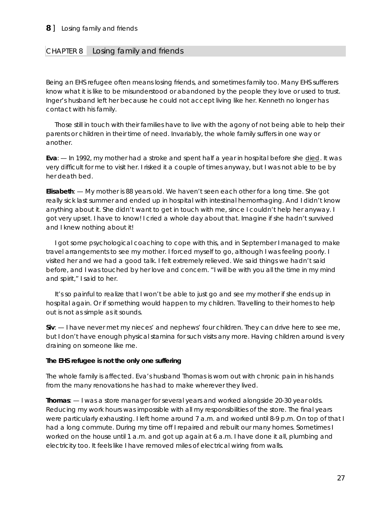# CHAPTER 8 Losing family and friends

Being an EHS refugee often means losing friends, and sometimes family too. Many EHS sufferers know what it is like to be misunderstood or abandoned by the people they love or used to trust. *Inger's* husband left her because he could not accept living like her. *Kenneth* no longer has contact with his family.

 Those still in touch with their families have to live with the agony of not being able to help their parents or children in their time of need. Invariably, the whole family suffers in one way or another.

*Eva*: — In 1992, my mother had a stroke and spent half a year in hospital before she died. It was very difficult for me to visit her. I risked it a couple of times anyway, but I was not able to be by her death bed.

*Elisabeth*: — My mother is 88 years old. We haven't seen each other for a long time. She got really sick last summer and ended up in hospital with intestinal hemorrhaging. And I didn't know anything about it. She didn't want to get in touch with me, since I couldn't help her anyway. I got very upset. *I have to know!* I cried a whole day about that. Imagine if she hadn't survived and I knew nothing about it!

 I got some psychological coaching to cope with this, and in September I managed to make travel arrangements to see my mother. I forced myself to go, although I was feeling poorly. I visited her and we had a good talk. I felt extremely relieved. We said things we hadn't said before, and I was touched by her love and concern. "I will be with you all the time in my mind and spirit," I said to her.

 It's so painful to realize that I won't be able to just go and see my mother if she ends up in hospital again. Or if something would happen to my children. Travelling to their homes to help out is not as simple as it sounds.

*Siv*:  $-$  I have never met my nieces' and nephews' four children. They can drive here to see me, but I don't have enough physical stamina for such visits any more. Having children around is very draining on someone like me.

### **The EHS refugee is not the only one suffering**

The whole family is affected. *Eva's* husband *Thomas* is worn out with chronic pain in his hands from the many renovations he has had to make wherever they lived.

*Thomas*: — I was a store manager for several years and worked alongside 20-30 year olds. Reducing my work hours was impossible with all my responsibilities of the store. The final years were particularly exhausting. I left home around 7 a.m. and worked until 8-9 p.m. On top of that I had a long commute. During my time off I repaired and rebuilt our many homes. Sometimes I worked on the house until 1 a.m. and got up again at 6 a.m. I have done it all, plumbing and electricity too. It feels like I have removed miles of electrical wiring from walls.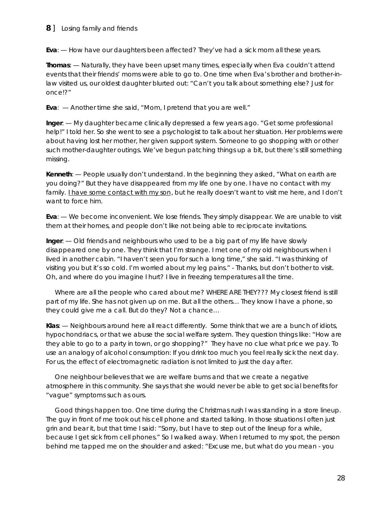### **8** ] Losing family and friends

*Eva*: — How have our daughters been affected? They've had a sick mom all these years.

*Thomas*: — Naturally, they have been upset many times, especially when Eva couldn't attend events that their friends' moms were able to go to. One time when Eva's brother and brother-inlaw visited us, our oldest daughter blurted out: "Can't you talk about something else? Just for once!?"

*Eva*: — Another time she said, "Mom, I pretend that you are well."

*Inger*: — My daughter became clinically depressed a few years ago. "Get some professional help!" I told her. So she went to see a psychologist to talk about her situation. Her problems were about having lost her mother, her given support system. Someone to go shopping with or other such mother-daughter outings. We've begun patching things up a bit, but there's still something missing.

*Kenneth*: — People usually don't understand. In the beginning they asked, "What on earth are you doing?" But they have disappeared from my life one by one. I have no contact with my family. I have some contact with my son, but he really doesn't want to visit me here, and I don't want to force him.

*Eva*: — We become inconvenient. We lose friends. They simply disappear. We are unable to visit them at their homes, and people don't like not being able to reciprocate invitations.

**Inger**:  $\rightarrow$  Old friends and neighbours who used to be a big part of my life have slowly disappeared one by one. They think that I'm strange. I met one of my old neighbours when I lived in another cabin. "I haven't seen you for such a long time," she said. "I was thinking of visiting you but it's so cold. I'm worried about my leg pains." - Thanks, but don't bother to visit. Oh, and where do you imagine I hurt? I live in freezing temperatures all the time.

 Where are all the people who cared about me? WHERE ARE THEY??? My closest friend is still part of my life. She has not given up on me. But all the others… They know I have a phone, so they could give me a call. But do they? Not a chance…

*Klas*: — Neighbours around here all react differently. Some think that we are a bunch of idiots, hypochondriacs, or that we abuse the social welfare system. They question things like: "How are they able to go to a party in town, or go shopping?" They have no clue what price we pay. To use an analogy of alcohol consumption: If you drink too much you feel really sick the next day. For us, the effect of electromagnetic radiation is not limited to just the day after.

 One neighbour believes that we are welfare bums and that we create a negative atmosphere in this community. She says that she would never be able to get social benefits for "vague" symptoms such as ours.

 Good things happen too. One time during the Christmas rush I was standing in a store lineup. The guy in front of me took out his cell phone and started talking. In those situations I often just grin and bear it, but that time I said: "Sorry, but I have to step out of the lineup for a while, because I get sick from cell phones." So I walked away. When I returned to my spot, the person behind me tapped me on the shoulder and asked: "Excuse me, but what do you mean - you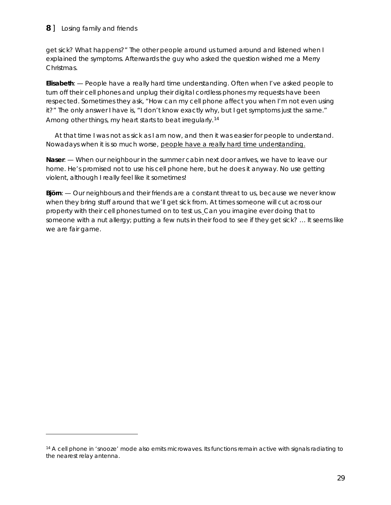# **8** ] Losing family and friends

get sick? What happens?" The other people around us turned around and listened when I explained the symptoms. Afterwards the guy who asked the question wished me a Merry Christmas.

*Elisabeth*: — People have a really hard time understanding. Often when I've asked people to turn off their cell phones and unplug their digital cordless phones my requests have been respected. Sometimes they ask, "How can my cell phone affect you when I'm not even using it?" The only answer I have is, "I don't know exactly why, but I get symptoms just the same." Among other things, my heart starts to beat irregularly.<sup>14</sup>

 At that time I was not as sick as I am now, and then it was easier for people to understand. Nowadays when it is so much worse, people have a really hard time understanding.

*Naser*: — When our neighbour in the summer cabin next door arrives, we have to leave our home. He's promised not to use his cell phone here, but he does it anyway. No use getting violent, although I really feel like it sometimes!

*Björn*: — Our neighbours and their friends are a constant threat to us, because we never know when they bring stuff around that we'll get sick from. At times someone will cut across our property with their cell phones turned on to test us. Can you imagine ever doing that to someone with a nut allergy; putting a few nuts in their food to see if they get sick? ... It seems like we are fair game.

<sup>14</sup> A cell phone in 'snooze' mode also emits microwaves. Its functions remain active with signals radiating to the nearest relay antenna.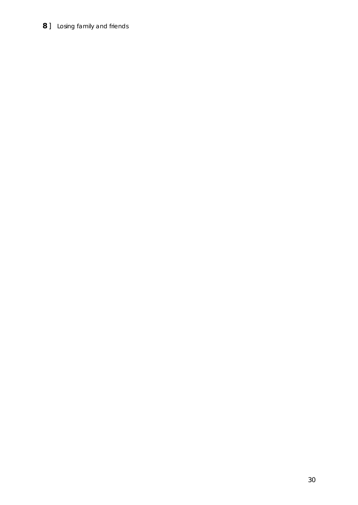# ] Losing family and friends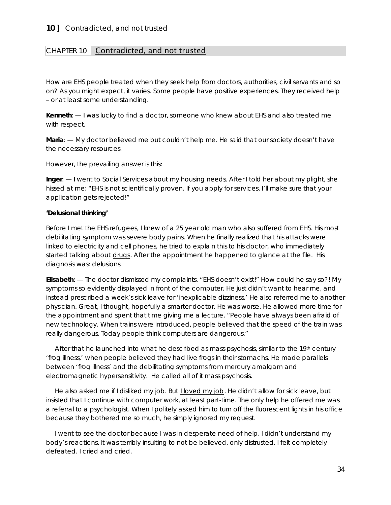# CHAPTER 10 Contradicted, and not trusted

How are EHS people treated when they seek help from doctors, authorities, civil servants and so on? As you might expect, it varies. Some people have positive experiences. They received help – or at least some understanding.

*Kenneth*: — I was lucky to find a doctor, someone who knew about EHS and also treated me with respect.

*Maria*: — My doctor believed me but couldn't help me. He said that our society doesn't have the necessary resources.

However, the prevailing answer is this:

*Inger*: — I went to Social Services about my housing needs. After I told her about my plight, she hissed at me: "EHS is not scientifically proven. If you apply for services, I'll make sure that your application gets rejected!"

#### **'Delusional thinking'**

Before I met the EHS refugees, I knew of a 25 year old man who also suffered from EHS. His most debilitating symptom was severe body pains. When he finally realized that his attacks were linked to electricity and cell phones, he tried to explain this to his doctor, who immediately started talking about *drugs*. After the appointment he happened to glance at the file. His diagnosis was: delusions.

*Elisabeth*: — The doctor dismissed my complaints. "EHS doesn't exist!" How could he say so?! My symptoms so evidently displayed in front of the computer. He just didn't want to hear me, and instead prescribed a week's sick leave for 'inexplicable dizziness.' He also referred me to another physician. Great, I thought, hopefully a smarter doctor. He was worse. He allowed more time for the appointment and spent that time giving me a lecture. "People have always been afraid of new technology. When trains were introduced, people believed that the speed of the train was really dangerous. Today people think computers are dangerous."

After that he launched into what he described as mass psychosis, similar to the 19th century 'frog illness,' when people believed they had live frogs in their stomachs. He made parallels between 'frog illness' and the debilitating symptoms from mercury amalgam and electromagnetic hypersensitivity. He called all of it mass psychosis.

He also asked me if I disliked my job. But I loved my job. He didn't allow for sick leave, but insisted that I continue with computer work, at least part-time. The only help he offered me was a referral to a psychologist. When I politely asked him to turn off the fluorescent lights in his office because they bothered me so much, he simply ignored my request.

 I went to see the doctor because I was in desperate need of help. I didn't understand my body's reactions. It was terribly insulting to not be believed, only distrusted. I felt completely defeated. I cried and cried.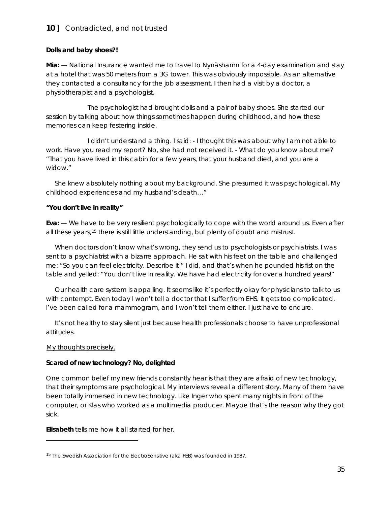### **Dolls and baby shoes?!**

*Mia*: — National Insurance wanted me to travel to Nynäshamn for a 4-day examination and stay at a hotel that was 50 meters from a 3G tower. This was obviously impossible. As an alternative they contacted a consultancy for the job assessment. I then had a visit by a doctor, a physiotherapist and a psychologist.

The psychologist had brought dolls and a pair of baby shoes. She started our session by talking about how things sometimes happen during childhood, and how these memories can keep festering inside.

I didn't understand a thing. I said: - I thought this was about why I am not able to work. Have you read my report? No, she had not received it. - What do you know about me? "That you have lived in this cabin for a few years, that your husband died, and you are a widow."

 She knew absolutely nothing about my background. She presumed it was psychological. My childhood experiences and my husband's death…"

#### **"You don't live in reality"**

*Eva*: — We have to be very resilient psychologically to cope with the world around us. Even after all these years,<sup>15</sup> there is still little understanding, but plenty of doubt and mistrust.

 When doctors don't know what's wrong, they send us to psychologists or psychiatrists. I was sent to a psychiatrist with a bizarre approach. He sat with his feet on the table and challenged me: "So you can feel electricity. Describe it!" I did, and that's when he pounded his fist on the table and yelled: "You don't live in reality. We have had electricity for over a hundred years!"

 Our health care system is appalling. It seems like it's perfectly okay for physicians to talk to us with contempt. Even today I won't tell a doctor that I suffer from EHS. It gets too complicated. I've been called for a mammogram, and I won't tell them either. I just have to endure.

 It's not healthy to stay silent just because health professionals choose to have unprofessional attitudes.

### <sup>U</sup>*My thoughts precisely.*

### **Scared of new technology? No, delighted**

One common belief my new friends constantly hear is that they are afraid of new technology, that their symptoms are psychological. My interviews reveal a different story. Many of them have been totally immersed in new technology. Like *Inger* who spent many nights in front of the computer, or *Klas* who worked as a multimedia producer. Maybe that's the reason why they got sick.

*Elisabeth* tells me how it all started for her.

<sup>&</sup>lt;sup>15</sup> The Swedish Association for the ElectroSensitive (aka FEB) was founded in 1987.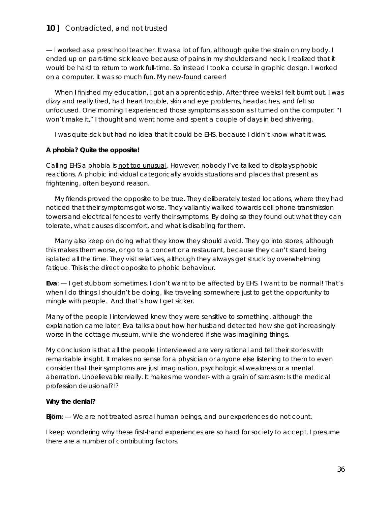— I worked as a preschool teacher. It was a lot of fun, although quite the strain on my body. I ended up on part-time sick leave because of pains in my shoulders and neck. I realized that it would be hard to return to work full-time. So instead I took a course in graphic design. I worked on a computer. It was so much fun. My new-found career!

 When I finished my education, I got an apprenticeship. After three weeks I felt burnt out. I was dizzy and really tired, had heart trouble, skin and eye problems, headaches, and felt so unfocused. One morning I experienced those symptoms as soon as I turned on the computer. "I won't make it," I thought and went home and spent a couple of days in bed shivering.

I was quite sick but had no idea that it could be EHS, because I didn't know what it was.

#### **A phobia? Quite the opposite!**

Calling EHS a phobia is not too unusual. However, nobody I've talked to displays phobic reactions. A phobic individual categorically avoids situations and places that present as frightening, often beyond reason.

 My friends proved the opposite to be true. They deliberately tested locations, where they had noticed that their symptoms got worse. They valiantly walked towards cell phone transmission towers and electrical fences to verify their symptoms. By doing so they found out what they can tolerate, what causes discomfort, and what is disabling for them.

 Many also keep on doing what they know they should avoid. They go into stores, although this makes them worse, or go to a concert or a restaurant, because they can't stand being isolated all the time. They visit relatives, although they always get struck by overwhelming fatigue. This is the direct opposite to phobic behaviour.

*Eva*:  $-$  I get stubborn sometimes. I don't want to be affected by EHS. I want to be normal! That's when I do things I shouldn't be doing, like traveling somewhere just to get the opportunity to mingle with people. And that's how I get sicker.

Many of the people I interviewed knew they were sensitive to something, although the explanation came later. *Eva* talks about how her husband detected how she got increasingly worse in the cottage museum, while she wondered if she was imagining things.

My conclusion is that all the people I interviewed are very rational and tell their stories with remarkable insight. It makes no sense for a physician or anyone else listening to them to even consider that their symptoms are just imagination, psychological weakness or a mental aberration. Unbelievable really. It makes me wonder- with a grain of sarcasm: *Is the medical profession delusional?!?* 

#### **Why the denial?**

*Björn*: — We are not treated as real human beings, and our experiences do not count.

I keep wondering why these first-hand experiences are so hard for society to accept. I presume there are a number of contributing factors.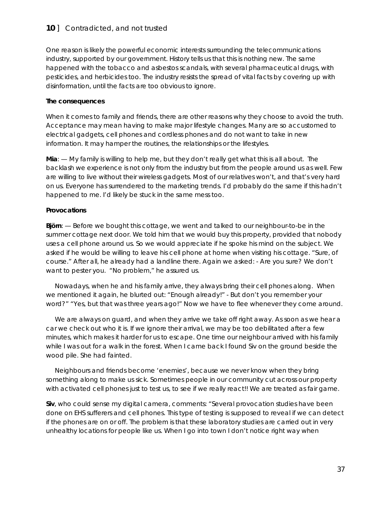One reason is likely the powerful economic interests surrounding the telecommunications industry, supported by our government. History tells us that this is nothing new. The same happened with the tobacco and asbestos scandals, with several pharmaceutical drugs, with pesticides, and herbicides too. The industry resists the spread of vital facts by covering up with disinformation, until the facts are too obvious to ignore.

#### **The consequences**

When it comes to family and friends, there are other reasons why they choose to avoid the truth. Acceptance may mean having to make major lifestyle changes. Many are so accustomed to electrical gadgets, cell phones and cordless phones and do not want to take in new information. It may hamper the routines, the relationships or the lifestyles.

*Mia*: — My family is willing to help me, but they don't really get what this is all about. The backlash we experience is not only from the industry but from the people around us as well. Few are willing to live without their wireless gadgets. Most of our relatives won't, and that's very hard on us. Everyone has surrendered to the marketing trends. I'd probably do the same if this hadn't happened to me. I'd likely be stuck in the same mess too.

#### **Provocations**

*Björn*: — Before we bought this cottage, we went and talked to our neighbour-to-be in the summer cottage next door. We told him that we would buy this property, provided that nobody uses a cell phone around us. So we would appreciate if he spoke his mind on the subject. We asked if he would be willing to leave his cell phone at home when visiting his cottage. "Sure, of course." After all, he already had a landline there. Again we asked: - Are you sure? We don't want to pester you. "No problem," he assured us.

 Nowadays, when he and his family arrive, they always bring their cell phones along. When we mentioned it again, he blurted out: "Enough already!" - But don't you remember your word?" "Yes, but that was three years ago!" Now we have to flee whenever they come around.

 We are always on guard, and when they arrive we take off right away. As soon as we hear a car we check out who it is. If we ignore their arrival, we may be too debilitated after a few minutes, which makes it harder for us to escape. One time our neighbour arrived with his family while I was out for a walk in the forest. When I came back I found *Siv* on the ground beside the wood pile. She had fainted.

 Neighbours and friends become 'enemies', because we never know when they bring something along to make us sick. Sometimes people in our community cut across our property with activated cell phones just to test us, to see if we *really* react!! We are treated as fair game.

**Siv**, who could sense my digital camera, comments: "Several provocation studies have been done on EHS sufferers and cell phones. This type of testing is supposed to reveal if we can detect if the phones are on or off. The problem is that these laboratory studies are carried out in very unhealthy locations for people like us. When I go into town I don't notice right way when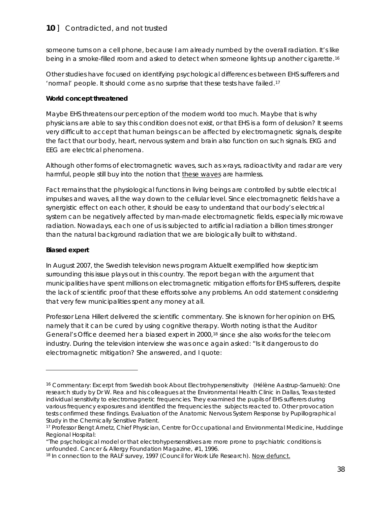someone turns on a cell phone, because I am already numbed by the overall radiation. It's like being in a smoke-filled room and asked to detect when someone lights up another cigarette.<sup>16</sup>

Other studies have focused on identifying psychological differences between EHS sufferers and 'normal' people. It should come as no surprise that these tests have failed.<sup>17</sup>

### **World concept threatened**

Maybe EHS threatens our perception of the modern world too much. Maybe that is why physicians are able to say this condition does not exist, or that EHS is a form of delusion? It seems very difficult to accept that human beings can be affected by electromagnetic signals, despite the fact that our body, heart, nervous system and brain also function on such signals. EKG and EEG are electrical phenomena.

Although other forms of electromagnetic waves, such as x-rays, radioactivity and radar are very harmful, people still buy into the notion that these waves are harmless.

Fact remains that the physiological functions in living beings are controlled by subtle electrical impulses and waves, all the way down to the cellular level. Since electromagnetic fields have a synergistic effect on each other, it should be easy to understand that our body's electrical system can be negatively affected by man-made electromagnetic fields, especially microwave radiation. Nowadays, each one of us is subjected to artificial radiation a billion times stronger than the natural background radiation that we are biologically built to withstand.

#### **Biased expert**

In August 2007, the Swedish television news program *Aktuellt* exemplified how skepticism surrounding this issue plays out in this country. The report began with the argument that municipalities have spent millions on electromagnetic mitigation efforts for EHS sufferers, despite the lack of scientific proof that these efforts solve any problems. An odd statement considering that very few municipalities spent any money at all.

Professor Lena Hillert delivered the scientific commentary. She is known for her opinion on EHS, namely that it can be cured by using cognitive therapy. Worth noting is that the Auditor General's Office deemed her a biased expert in 2000,<sup>18</sup> since she also works for the telecom industry. During the television interview she was once again asked: "Is it dangerous to do electromagnetic mitigation? She answered, and I quote:

<sup>16</sup> Commentary: Excerpt from Swedish book *About Electrohypersensitivity* (Hélène Aastrup-Samuels): One research study by Dr W. Rea and his colleagues at the Environmental Health Clinic in Dallas, Texas tested individual sensitivity to electromagnetic frequencies. They examined the pupils of EHS sufferers during various frequency exposures and identified the frequencies the subjects reacted to. Other provocation tests confirmed these findings. *Evaluation of the Anatomic Nervous System Response by Pupillographical Study in the Chemically Sensitive Patient.* 

<sup>17</sup> Professor Bengt Arnetz, Chief Physician, Centre for Occupational and Environmental Medicine, Huddinge Regional Hospital:

*<sup>&</sup>quot;The psychological model or that electrohypersensitives are more prone to psychiatric conditions is unfounded.* Cancer & Allergy Foundation Magazine, #1, 1996.<br><sup>18</sup> In connection to the RALF survey, 1997 (Council for Work Life Research). Now defunct.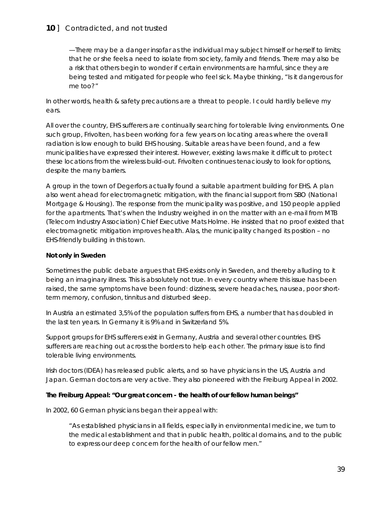—There may be a danger insofar as the individual may subject himself or herself to limits; that he or she feels a need to isolate from society, family and friends. There may also be a risk that others begin to wonder if certain environments are harmful, since they are being tested and mitigated for people who feel sick. Maybe thinking, "Is it dangerous for me too?"

In other words, health & safety precautions are a threat to people. *I could hardly believe my ears.* 

All over the country, EHS sufferers are continually searching for tolerable living environments. One such group, *Frivolten,* has been working for a few years on locating areas where the overall radiation is low enough to build EHS housing. Suitable areas have been found, and a few municipalities have expressed their interest. However, existing laws make it difficult to protect these locations from the wireless build-out. *Frivolten* continues tenaciously to look for options, despite the many barriers.

A group in the town of Degerfors actually found a suitable apartment building for EHS. A plan also went ahead for electromagnetic mitigation, with the financial support from SBO (National Mortgage & Housing). The response from the municipality was positive, and 150 people applied for the apartments. That's when the Industry weighed in on the matter with an e-mail from MTB (Telecom Industry Association) Chief Executive Mats Holme. He insisted that no proof existed that electromagnetic mitigation improves health. Alas, the municipality changed its position – no EHS-friendly building in this town.

### **Not only in Sweden**

Sometimes the public debate argues that EHS exists only in Sweden, and thereby alluding to it being an imaginary illness. This is absolutely not true. In every country where this issue has been raised, the same symptoms have been found: dizziness, severe headaches, nausea, poor shortterm memory, confusion, tinnitus and disturbed sleep.

In Austria an estimated 3,5% of the population suffers from EHS, a number that has doubled in the last ten years. In Germany it is 9% and in Switzerland 5%.

Support groups for EHS sufferers exist in Germany, Austria and several other countries. EHS sufferers are reaching out across the borders to help each other. The primary issue is to find tolerable living environments.

Irish doctors (IDEA) has released public alerts, and so have physicians in the US, Austria and Japan. German doctors are very active. They also pioneered with the Freiburg Appeal in 2002.

### **The Freiburg Appeal: "Our great concern - the health of our fellow human beings"**

In 2002, 60 German physicians began their appeal with:

"As established physicians in all fields, especially in environmental medicine, we turn to the medical establishment and that in public health, political domains, and to the public to express our deep concern for the health of our fellow men."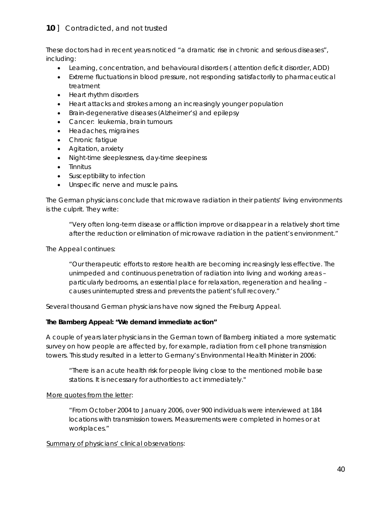# 10<sup>]</sup> Contradicted, and not trusted

These doctors had in recent years noticed "a dramatic rise in chronic and serious diseases", including:

- Learning, concentration, and behavioural disorders ( attention deficit disorder, ADD)
- Extreme fluctuations in blood pressure, not responding satisfactorily to pharmaceutical treatment
- Heart rhythm disorders
- Heart attacks and strokes among an increasingly younger population
- Brain-degenerative diseases (Alzheimer's) and epilepsy
- Cancer: leukemia, brain tumours
- Headaches, migraines
- Chronic fatigue
- Agitation, anxiety
- Night-time sleeplessness, day-time sleepiness
- Tinnitus
- Susceptibility to infection
- Unspecific nerve and muscle pains.

The German physicians conclude that microwave radiation in their patients' living environments is the culprit. They write:

"Very often long-term disease or affliction improve or disappear in a relatively short time after the reduction or elimination of microwave radiation in the patient's environment."

The Appeal continues:

"Our therapeutic efforts to restore health are becoming increasingly less effective. The unimpeded and continuous penetration of radiation into living and working areas – particularly bedrooms, an essential place for relaxation, regeneration and healing – causes uninterrupted stress and prevents the patient's full recovery."

Several thousand German physicians have now signed the Freiburg Appeal.

#### **The Bamberg Appeal: "We demand immediate action"**

A couple of years later physicians in the German town of Bamberg initiated a more systematic survey on how people are affected by, for example, radiation from cell phone transmission towers. This study resulted in a letter to Germany's Environmental Health Minister in 2006:

"There is an acute health risk for people living close to the mentioned mobile base stations. It is necessary for authorities to act immediately."

#### More quotes from the letter:

"From October 2004 to January 2006, over 900 individuals were interviewed at 184 locations with transmission towers. Measurements were completed in homes or at workplaces."

#### Summary of physicians' clinical observations: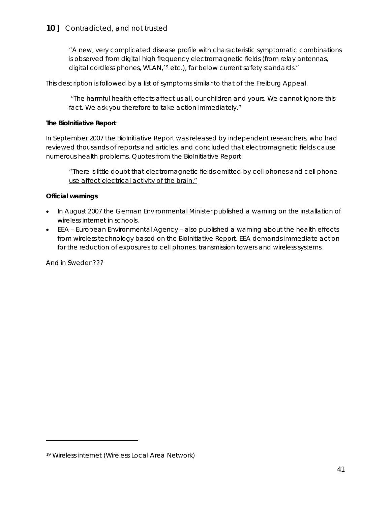"A new, very complicated disease profile with characteristic symptomatic combinations is observed from digital high frequency electromagnetic fields (from relay antennas, digital cordless phones, WLAN,<sup>19</sup> etc.), far below current safety standards."

This description is followed by a list of symptoms similar to that of the Freiburg Appeal.

 "The harmful health effects affect us all, our children and yours. We cannot ignore this fact. We ask you therefore to take action immediately."

### **The BioInitiative Report**

In September 2007 the BioInitiative Report was released by independent researchers, who had reviewed thousands of reports and articles, and concluded that electromagnetic fields cause numerous health problems. Quotes from the BioInitiative Report:

" Ihere is little doubt that electromagnetic fields emitted by cell phones and cell phone use affect electrical activity of the brain."

# **Official warnings**

- In August 2007 the German Environmental Minister published a warning on the installation of wireless internet in schools.
- EEA European Environmental Agency also published a warning about the health effects from wireless technology based on the BioInitiative Report. EEA demands immediate action for the reduction of exposures to cell phones, transmission towers and wireless systems.

*And in Sweden???* 

<sup>19</sup> Wireless internet (Wireless Local Area Network)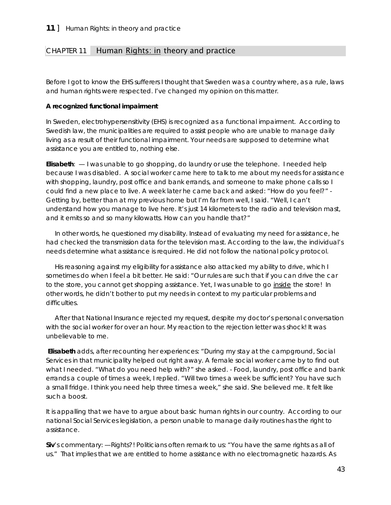# CHAPTER 11 Human Rights: in theory and practice

Before I got to know the EHS sufferers I thought that Sweden was a country where, as a rule, laws and human rights were respected. I've changed my opinion on this matter.

#### **A recognized functional impairment**

In Sweden, electrohypersensitivity (EHS) is recognized as a functional impairment. According to Swedish law, the municipalities are required to assist people who are unable to manage daily living as a result of their functional impairment. Your needs are supposed to determine what assistance you are entitled to, nothing else.

*Elisabeth*: — I was unable to go shopping, do laundry or use the telephone. I needed help because I was disabled. A social worker came here to talk to me about my needs for assistance with shopping, laundry, post office and bank errands, and someone to make phone calls so I could find a new place to live. A week later he came back and asked: "How do you feel?" - Getting by, better than at my previous home but I'm far from well, I said. "Well, I can't understand how you manage to live here. It's just 14 kilometers to the radio and television mast, and it emits so and so many kilowatts. How can you handle that?"

 In other words, he questioned my disability. Instead of evaluating my need for assistance, he had checked the transmission data for the television mast. According to the law, the individual's needs determine what assistance is required. He did not follow the national policy protocol.

 His reasoning against my eligibility for assistance also attacked my ability to drive, which I sometimes do when I feel a bit better. He said: "Our rules are such that if you can drive the car to the store, you cannot get shopping assistance. *Yet, I was unable to go inside the store*! In other words, he didn't bother to put my needs in context to *my particular problems and difficulties*.

 After that National Insurance rejected my request, despite my doctor's personal conversation with the social worker for over an hour. My reaction to the rejection letter was *shock*! It was unbelievable to me.

*Elisabeth* adds, after recounting her experiences: "During my stay at the campground, Social Services in that municipality helped out right away. A female social worker came by to find out what I needed. "What do you need help with?" she asked. - Food, laundry, post office and bank errands a couple of times a week, I replied. "Will two times a week be sufficient? You have such a small fridge. I think you need help three times a week," she said. She believed me. It felt like such a boost.

It is appalling that we have to argue about basic human rights in our country. According to our national Social Services legislation, a person unable to manage daily routines has the right to assistance.

*Siv's* commentary: —Rights?! Politicians often remark to us: "You have the same rights as all of us." That implies that we are entitled to home assistance with no electromagnetic hazards. As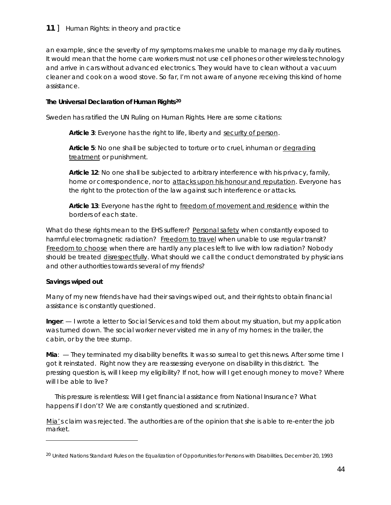an example, since the severity of my symptoms makes me unable to manage my daily routines. It would mean that the home care workers must not use cell phones or other wireless technology and arrive in cars without advanced electronics. They would have to clean without a vacuum cleaner and cook on a wood stove. So far, I'm not aware of anyone receiving this kind of home assistance.

### **The Universal Declaration of Human Rights<sup>20</sup></u>**

Sweden has ratified the UN Ruling on Human Rights. Here are some citations:

Article 3: Everyone has the right to life, liberty and security of person.

**Article 5**: No one shall be subjected to torture or to cruel, inhuman or degrading treatment or punishment.

**Article 12**: No one shall be subjected to arbitrary interference with his privacy, family, home or correspondence, nor to attacks upon his honour and reputation. Everyone has the right to the protection of the law against such interference or attacks.

Article 13: Everyone has the right to freedom of movement and residence within the borders of each state.

What do these rights mean to the EHS sufferer? Personal safety when constantly exposed to harmful electromagnetic radiation? Freedom to travel when unable to use regular transit? Freedom to choose when there are hardly any places left to live with low radiation? Nobody should be treated disrespectfully. What should we call the conduct demonstrated by physicians and other authorities towards several of my friends?

### **Savings wiped out**

Many of my new friends have had their savings wiped out, and their rights to obtain financial assistance is constantly questioned.

*Inger*: — I wrote a letter to Social Services and told them about my situation, but my application was turned down. The social worker never visited me in any of my homes: in the trailer, the cabin, or by the tree stump.

*Mia*: — They terminated my disability benefits. It was so surreal to get this news. After some time I got it reinstated. Right now they are reassessing everyone on disability in this district. The pressing question is, will I keep my eligibility? If not, how will I get enough money to move? Where will I be able to live?

 This pressure is relentless: Will I get financial assistance from National Insurance? What happens if I don't? We are constantly questioned and scrutinized.

*Mia's* claim was rejected. The authorities are of the opinion that she is able to re-enter the job market.

<sup>&</sup>lt;sup>20</sup> United Nations Standard Rules on the Equalization of Opportunities for Persons with Disabilities, December 20, 1993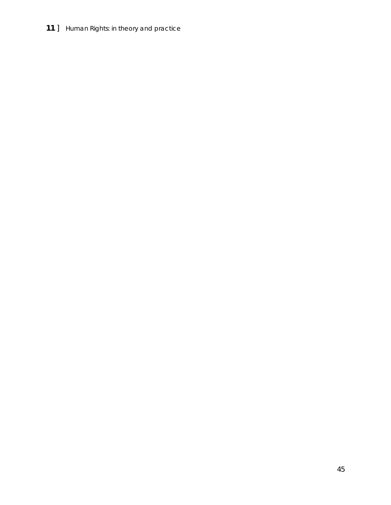# ] Human Rights: in theory and practice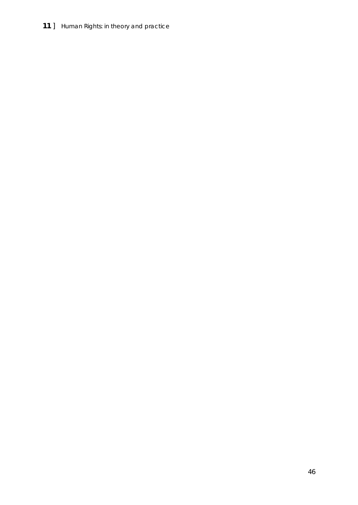# ] Human Rights: in theory and practice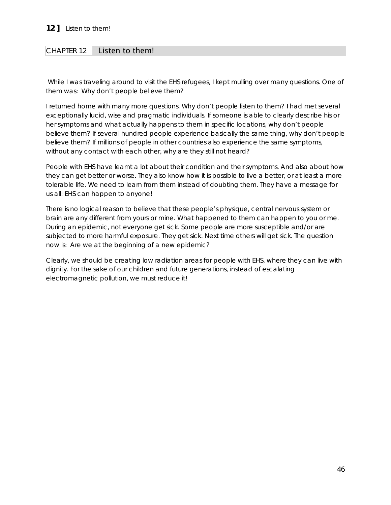# **12 ]** Listen to them!

# CHAPTER 12 Listen to them!

 While I was traveling around to visit the EHS refugees, I kept mulling over many questions. One of them was: Why don't people believe them?

I returned home with many more questions. Why don't people listen to them? I had met several exceptionally lucid, wise and pragmatic individuals. If someone is able to clearly describe his or her symptoms and what actually happens to them in specific locations, why don't people believe them? If several hundred people experience basically the same thing, why don't people believe them? If millions of people in other countries also experience the same symptoms, without any contact with each other, why are they still not heard?

People with EHS have learnt a lot about their condition and their symptoms. And also about how they can get better or worse. They also know how it is possible to live a better, or at least a more tolerable life. We need to learn from them instead of doubting them. They have a message for us all: EHS can happen to anyone!

There is no logical reason to believe that these people's physique, central nervous system or brain are any different from yours or mine. What happened to them can happen to you or me. During an epidemic, not everyone get sick. Some people are more susceptible and/or are subjected to more harmful exposure. They get sick. Next time others will get sick. The question now is: Are we at the beginning of a new epidemic?

Clearly, we should be creating low radiation areas for people with EHS, where they can live with dignity. For the sake of our children and future generations, instead of escalating electromagnetic pollution, we must reduce it!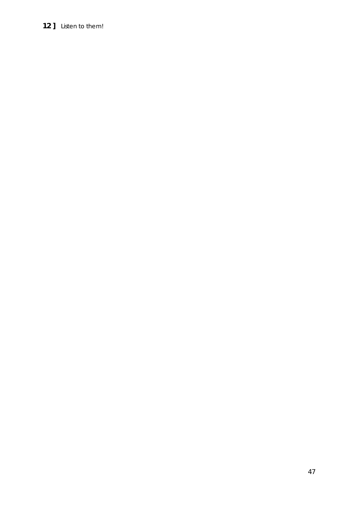# **12 ]** Listen to them!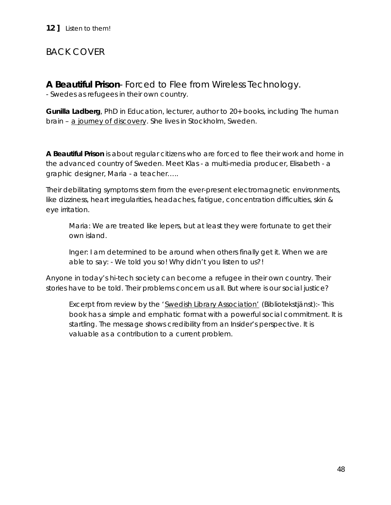# BACK COVER

**A Beautiful Prison**- Forced to Flee from Wireless Technology.

*- Swedes as refugees in their own country.* 

**Gunilla Ladberg**, PhD in Education, lecturer, author to 20+ books, including *The human brain – a journey of discovery*. She lives in Stockholm, Sweden.

**A Beautiful Prison** is about regular citizens who are forced to flee their work and home in the advanced country of Sweden. Meet *Klas* - a multi-media producer, *Elisabeth* - a graphic designer, *Maria* - a teacher…..

Their debilitating symptoms stem from the ever-present electromagnetic environments, like dizziness, heart irregularities, headaches, fatigue, concentration difficulties, skin & eye irritation.

*Maria*: We are treated like lepers, but at least they were fortunate to get their own island.

*Inger*: I am determined to be around when others finally get it. When we are able to say: - We told you so! Why didn't you listen to us?!

Anyone in today's hi-tech society can become a refugee in their own country. Their stories have to be told. Their problems concern us all. But where is our social justice?

Excerpt from review by the 'Swedish Library Association'. (*Bibliotekstjänst*):- This book has a simple and emphatic format with a powerful social commitment. It is startling. The message shows credibility from an Insider's perspective. It is valuable as a contribution to a current problem.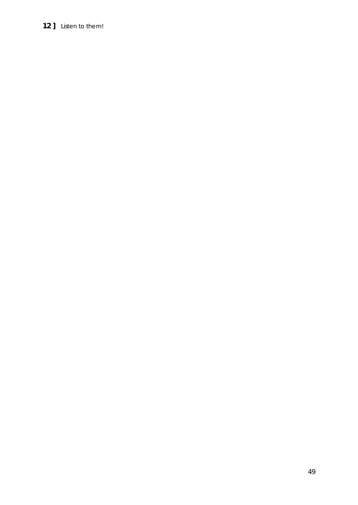# **12 ]** Listen to them!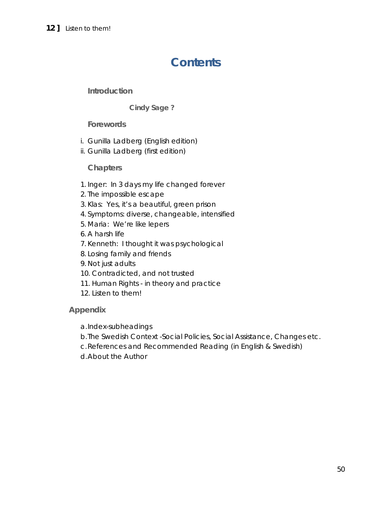# **Contents**

# **Introduction**

 **Cindy Sage ?**

**Forewords** 

- i. Gunilla Ladberg (English edition)
- ii. Gunilla Ladberg (first edition)

# **Chapters**

- 1. *Inger*: In 3 days my life changed forever
- 2. The impossible escape
- 3. *Klas:* Yes, it's a beautiful, green prison
- 4. Symptoms: diverse, changeable, intensified
- 5. *Maria*: We're like lepers
- 6. A harsh life
- 7. *Kenneth*: I thought it was psychological
- 8. Losing family and friends
- 9. Not just adults
- 10. Contradicted, and not trusted
- 11. Human Rights in theory and practice
- 12. Listen to them!

# **Appendix**

a.Index-subheadings

- b.The Swedish Context -Social Policies, Social Assistance, Changes etc.
- c.References and Recommended Reading (in English & Swedish)
- d.About the Author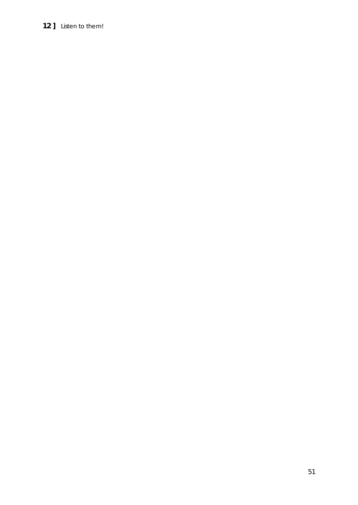# **12 ]** Listen to them!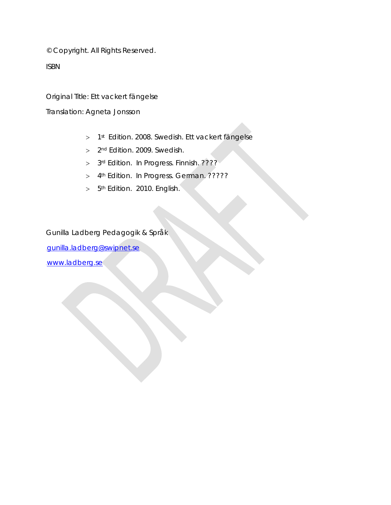© Copyright. All Rights Reserved.

ISBN

Original Title: Ett vackert fängelse

Translation: Agneta Jonsson

- > 1st Edition. 2008. Swedish. *Ett vackert fängelse*
- > 2nd Edition. 2009. Swedish.
- > 3rd Edition. In Progress. Finnish. ????
- > 4<sup>th</sup> Edition. In Progress. German. ?????
- > 5<sup>th</sup> Edition. 2010. English.

Gunilla Ladberg Pedagogik & Språk

gunilla.ladberg@swipnet.se

www.ladberg.se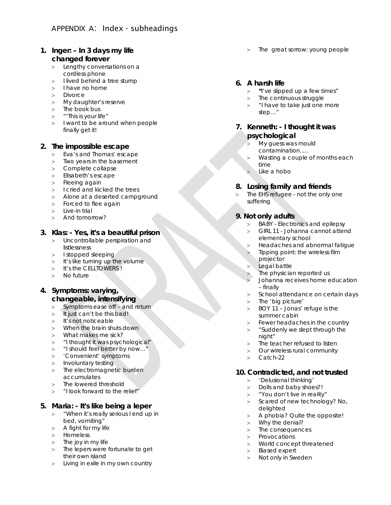### **1.** *Inger***: – In 3 days my life changed forever**

- > Lengthy conversations on a cordless phone
- > I lived behind a tree stump
- > I have no home
- > Divorce
- > My daughter's reserve
- > The book bus
- > "'This is your life"
- > I want to be around when people finally get it!

#### **2. The impossible escape**

- > *Eva's* and *Thomas'* escape
- > Two years in the basement
- > Complete collapse
- > Elisabeth's escape
- > Fleeing again
- > I cried and kicked the trees
- > Alone at a deserted campground
- > Forced to flee again
- > Live-in trial
- > And tomorrow?

# **3.** *Klas***: - Yes, it's a beautiful prison**

- > Uncontrollable perspiration and listlessness
- > I stopped sleeping
- > It's like turning up the volume
- > It's the CELLTOWERS !
- > No future

# **4. Symptoms: varying, changeable, intensifying**

- > Symptoms ease off and return
- > It just can't be this bad!
- > It's not noticeable
- > When the brain shuts down
- > What makes me sick?
- > "I thought it was psychological"
- > "I should feel better by now…"
- > 'Convenient' symptoms
- > Involuntary testing
- > The electromagnetic burden accumulates
- > The lowered threshold
- > "I look forward to the relief"

### **5.** *Maria***: - It's like being a leper**

- > "When it's really serious I end up in bed, vomiting"
- > A fight for my life
- > Homeless
- > The joy in my life
- The lepers were fortunate to get their own island
- > Living in exile in my own country

> The great sorrow: young people

### **6. A harsh life**

- > **"**I've slipped up a few times"
- > The continuous struggle
- > "I have to take just one more step…"

#### **7.** *Kenneth***: - I thought it was psychological**

- > My guess was mould contamination..…
- > Wasting a couple of months each time
- > Like a hobo

### **8. Losing family and friends**

> The EHS refugee - not the only one suffering

### **9. Not only adults**

- > BABY Electronics and epilepsy
- > GIRL 11 *Johanna* cannot attend elementary school
- > Headaches and abnormal fatigue
- > Tipping point: the wireless film projector
- > Legal battle
- The physician reported us
- > Johanna receives home education – finally
- > School attendance on certain days
- > The 'big picture'
- > BOY 11 *Jonas*' refuge is the summer cabin
- > Fewer headaches in the country
- > "Suddenly we slept through the night"
- > The teacher refused to listen
- > Our wireless rural community
- > Catch-22

### **10. Contradicted, and not trusted**

- > 'Delusional thinking'<br>> Dolls and baby shoe
- Dolls and baby shoes?!
- > "You don't live in reality"
- > Scared of new technology? No, delighted
- > A phobia? Quite the opposite!
- > Why the denial?
- > The consequences
- > Provocations
- > World concept threatened<br>> Biased expert
- Biased expert
- > Not only in Sweden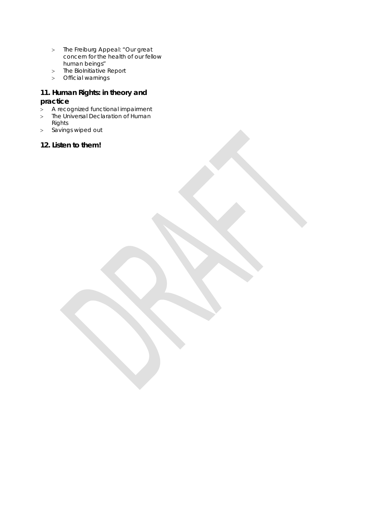- > The Freiburg Appeal: "Our great concern for the health of our fellow human beings"
- > The BioInitiative Report
- > Official warnings

# **11. Human Rights: in theory and practice**

- > A recognized functional impairment
- > The Universal Declaration of Human Rights
- > Savings wiped out

### **12. Listen to them!**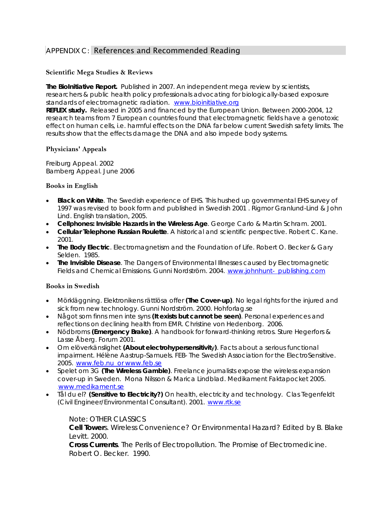# APPENDIX C: References and Recommended Reading

#### **Scientific Mega Studies & Reviews**

**The BioInitiative Report.** Published in 2007. An independent mega review by scientists, researchers & public health policy professionals advocating for biologically-based exposure standards of electromagnetic radiation. www.bioinitiative.org

**REFLEX study.** Released in 2005 and financed by the European Union. Between 2000-2004, 12 research teams from 7 European countries found that electromagnetic fields have a genotoxic effect on human cells, i.e. harmful effects on the DNA far below current Swedish safety limits. The results show that the effects damage the DNA and also impede body systems.

#### **Physicians' Appeals**

Freiburg Appeal. 2002 Bamberg Appeal. June 2006

#### **Books in English**

- **Black on White**. The Swedish experience of EHS. This hushed up governmental EHS survey of 1997 was revised to book form and published in Swedish 2001 . Rigmor Granlund-Lind & John Lind. English translation, 2005.
- **Cellphones: Invisible Hazards in the Wireless Age**. George Carlo & Martin Schram. 2001.
- **Cellular Telephone Russian Roulette**. A historical and scientific perspective. Robert C. Kane. 2001.
- **The Body Electric**. Electromagnetism and the Foundation of Life. Robert O. Becker & Gary Selden. 1985.
- **The Invisible Disease**. The Dangers of Environmental Illnesses caused by Electromagnetic Fields and Chemical Emissions. Gunni Nordström. 2004. www.johnhunt- publishing.com.

### **Books in Swedish**

- *Mörkläggning.* Elektronikens rättlösa offer **(The Cover-up)**. No legal rights for the injured and sick from new technology. Gunni Nordström. 2000. Hohforlag.se
- *Något som finns men inte syns* **(It exists but cannot be seen)**. Personal experiences and reflections on declining health from EMR. Christine von Hedenborg. 2006.
- Nödbroms **(Emergency Brake)**. A handbook for forward-thinking retros. Sture Hegerfors & Lasse Åberg. Forum 2001.
- *Om elöverkänslighet* **(About electrohypersensitivit**y**)**. Facts about a serious functional impairment. Hélène Aastrup-Samuels. FEB- The Swedish Association for the ElectroSensitive. 2005. www.feb.nu or www.feb.se
- *Spelet om 3G* **(The Wireless Gamble)**. Freelance journalists expose the wireless expansion cover-up in Sweden. Mona Nilsson & Marica Lindblad. Medikament Faktapocket 2005. www.medikament.se
- *Tål du el?* **(Sensitive to Electricity?)** On health, electricity and technology. Clas Tegenfeldt (Civil Engineer/Environmental Consultant). 2001. www.rtk.se

#### *Note: OTHER CLASSICS*

**Cell Tower**s. Wireless Convenience? Or Environmental Hazard? Edited by B. Blake Levitt. 2000.

**Cross Currents**. The Perils of Electropollution. The Promise of Electromedicine. Robert O. Becker. 1990.